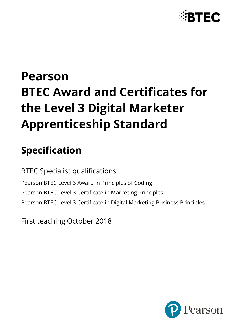

# **Pearson BTEC Award and Certificates for the Level 3 Digital Marketer Apprenticeship Standard**

# **Specification**

BTEC Specialist qualifications Pearson BTEC Level 3 Award in Principles of Coding Pearson BTEC Level 3 Certificate in Marketing Principles Pearson BTEC Level 3 Certificate in Digital Marketing Business Principles

First teaching October 2018

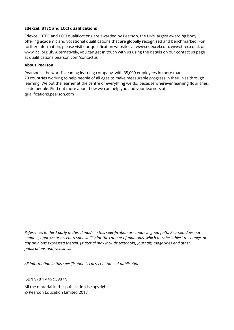#### **Edexcel, BTEC and LCCI qualifications**

Edexcel, BTEC and LCCI qualifications are awarded by Pearson, the UK's largest awarding body offering academic and vocational qualifications that are globally recognised and benchmarked. For further information, please visit our qualification websites at www.edexcel.com, www.btec.co.uk or www.lcci.org.uk. Alternatively, you can get in touch with us using the details on our contact us page at qualifications.pearson.com/contactus

#### **About Pearson**

Pearson is the world's leading learning company, with 35,000 employees in more than 70 countries working to help people of all ages to make measurable progress in their lives through learning. We put the learner at the centre of everything we do, because wherever learning flourishes, so do people. Find out more about how we can help you and your learners at qualifications.pearson.com

*References to third party material made in this specification are made in good faith. Pearson does not endorse, approve or accept responsibility for the content of materials, which may be subject to change, or any opinions expressed therein. (Material may include textbooks, journals, magazines and other publications and websites.)*

*All information in this specification is correct at time of publication.*

ISBN 978 1 446 95987 9

All the material in this publication is copyright © Pearson Education Limited 2018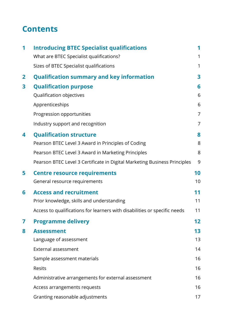# **Contents**

| 1            | <b>Introducing BTEC Specialist qualifications</b>                         | 1              |
|--------------|---------------------------------------------------------------------------|----------------|
|              | What are BTEC Specialist qualifications?                                  | 1              |
|              | Sizes of BTEC Specialist qualifications                                   | 1              |
| $\mathbf{2}$ | <b>Qualification summary and key information</b>                          | 3              |
| 3            | <b>Qualification purpose</b>                                              | 6              |
|              | Qualification objectives                                                  | 6              |
|              | Apprenticeships                                                           | 6              |
|              | Progression opportunities                                                 | 7              |
|              | Industry support and recognition                                          | $\overline{7}$ |
| 4            | <b>Qualification structure</b>                                            | 8              |
|              | Pearson BTEC Level 3 Award in Principles of Coding                        | 8              |
|              | Pearson BTEC Level 3 Award in Marketing Principles                        | 8              |
|              | Pearson BTEC Level 3 Certificate in Digital Marketing Business Principles | 9              |
| 5            | <b>Centre resource requirements</b>                                       | 10             |
|              | General resource requirements                                             | 10             |
| 6            | <b>Access and recruitment</b>                                             | 11             |
|              | Prior knowledge, skills and understanding                                 | 11             |
|              | Access to qualifications for learners with disabilities or specific needs | 11             |
|              | <b>Programme delivery</b>                                                 | 12             |
| 8            | <b>Assessment</b>                                                         | 13             |
|              | Language of assessment                                                    | 13             |
|              | <b>External assessment</b>                                                | 14             |
|              | Sample assessment materials                                               | 16             |
|              | Resits                                                                    | 16             |
|              | Administrative arrangements for external assessment                       | 16             |
|              | Access arrangements requests                                              | 16             |
|              | Granting reasonable adjustments                                           | 17             |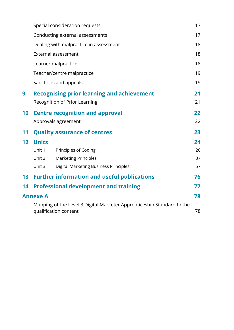|                 |                 | Special consideration requests                                                                  | 17 |
|-----------------|-----------------|-------------------------------------------------------------------------------------------------|----|
|                 |                 | Conducting external assessments                                                                 | 17 |
|                 |                 | Dealing with malpractice in assessment                                                          | 18 |
|                 |                 | <b>External assessment</b>                                                                      | 18 |
|                 |                 | Learner malpractice                                                                             | 18 |
|                 |                 | Teacher/centre malpractice                                                                      | 19 |
|                 |                 | Sanctions and appeals                                                                           | 19 |
| 9               |                 | <b>Recognising prior learning and achievement</b>                                               | 21 |
|                 |                 | Recognition of Prior Learning                                                                   | 21 |
| 10              |                 | <b>Centre recognition and approval</b>                                                          | 22 |
|                 |                 | Approvals agreement                                                                             | 22 |
| 11              |                 | <b>Quality assurance of centres</b>                                                             | 23 |
| 12              | <b>Units</b>    |                                                                                                 | 24 |
|                 | Unit 1:         | Principles of Coding                                                                            | 26 |
|                 | Unit 2:         | <b>Marketing Principles</b>                                                                     | 37 |
|                 | Unit 3:         | Digital Marketing Business Principles                                                           | 57 |
| 13 <sup>7</sup> |                 | <b>Further information and useful publications</b>                                              | 76 |
| 14              |                 | <b>Professional development and training</b>                                                    | 77 |
|                 | <b>Annexe A</b> |                                                                                                 | 78 |
|                 |                 | Mapping of the Level 3 Digital Marketer Apprenticeship Standard to the<br>qualification content | 78 |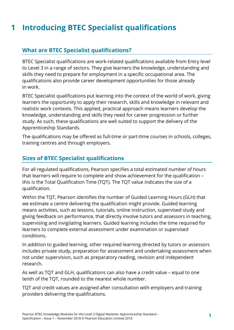# <span id="page-4-0"></span>**1 Introducing BTEC Specialist qualifications**

### <span id="page-4-1"></span>**What are BTEC Specialist qualifications?**

BTEC Specialist qualifications are work-related qualifications available from Entry level to Level 3 in a range of sectors. They give learners the knowledge, understanding and skills they need to prepare for employment in a specific occupational area. The qualifications also provide career development opportunities for those already in work.

BTEC Specialist qualifications put learning into the context of the world of work, giving learners the opportunity to apply their research, skills and knowledge in relevant and realistic work contexts. This applied, practical approach means learners develop the knowledge, understanding and skills they need for career progression or further study. As such, these qualifications are well suited to support the delivery of the Apprenticeship Standards.

The qualifications may be offered as full-time or part-time courses in schools, colleges, training centres and through employers.

#### <span id="page-4-2"></span>**Sizes of BTEC Specialist qualifications**

For all regulated qualifications, Pearson specifies a total estimated number of hours that learners will require to complete and show achievement for the qualification – this is the Total Qualification Time (TQT). The TQT value indicates the size of a qualification.

Within the TQT, Pearson identifies the number of Guided Learning Hours (GLH) that we estimate a centre delivering the qualification might provide. Guided learning means activities, such as lessons, tutorials, online instruction, supervised study and giving feedback on performance, that directly involve tutors and assessors in teaching, supervising and invigilating learners. Guided learning includes the time required for learners to complete external assessment under examination or supervised conditions.

In addition to guided learning, other required learning directed by tutors or assessors includes private study, preparation for assessment and undertaking assessment when not under supervision, such as preparatory reading, revision and independent research.

As well as TQT and GLH, qualifications can also have a credit value – equal to one tenth of the TQT, rounded to the nearest whole number.

TQT and credit values are assigned after consultation with employers and training providers delivering the qualifications.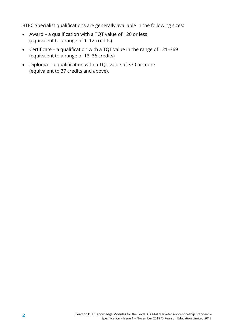BTEC Specialist qualifications are generally available in the following sizes:

- Award a qualification with a TQT value of 120 or less (equivalent to a range of 1–12 credits)
- Certificate a qualification with a TQT value in the range of 121–369 (equivalent to a range of 13–36 credits)
- Diploma a qualification with a TQT value of 370 or more (equivalent to 37 credits and above).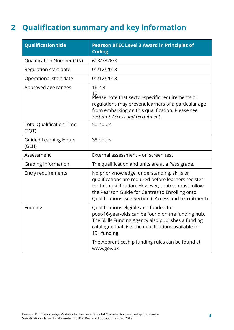# <span id="page-6-0"></span>**2 Qualification summary and key information**

| <b>Qualification title</b>               | <b>Pearson BTEC Level 3 Award in Principles of</b><br><b>Coding</b>                                                                                                                                                                                                       |
|------------------------------------------|---------------------------------------------------------------------------------------------------------------------------------------------------------------------------------------------------------------------------------------------------------------------------|
| Qualification Number (QN)                | 603/3826/X                                                                                                                                                                                                                                                                |
| Regulation start date                    | 01/12/2018                                                                                                                                                                                                                                                                |
| Operational start date                   | 01/12/2018                                                                                                                                                                                                                                                                |
| Approved age ranges                      | $16 - 18$<br>$19+$<br>Please note that sector-specific requirements or<br>regulations may prevent learners of a particular age<br>from embarking on this qualification. Please see<br>Section 6 Access and recruitment.                                                   |
| <b>Total Qualification Time</b><br>(TQT) | 50 hours                                                                                                                                                                                                                                                                  |
| <b>Guided Learning Hours</b><br>(GLH)    | 38 hours                                                                                                                                                                                                                                                                  |
| Assessment                               | External assessment - on screen test                                                                                                                                                                                                                                      |
| Grading information                      | The qualification and units are at a Pass grade.                                                                                                                                                                                                                          |
| <b>Entry requirements</b>                | No prior knowledge, understanding, skills or<br>qualifications are required before learners register<br>for this qualification. However, centres must follow<br>the Pearson Guide for Centres to Enrolling onto<br>Qualifications (see Section 6 Access and recruitment). |
| Funding                                  | Qualifications eligible and funded for<br>post-16-year-olds can be found on the funding hub.<br>The Skills Funding Agency also publishes a funding<br>catalogue that lists the qualifications available for<br>19+ funding.                                               |
|                                          | The Apprenticeship funding rules can be found at<br>www.gov.uk                                                                                                                                                                                                            |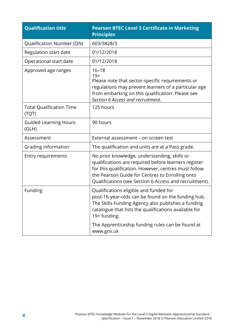| <b>Qualification title</b>               | <b>Pearson BTEC Level 3 Certificate in Marketing</b><br><b>Principles</b>                                                                                                                                                                                                 |
|------------------------------------------|---------------------------------------------------------------------------------------------------------------------------------------------------------------------------------------------------------------------------------------------------------------------------|
| <b>Qualification Number (QN)</b>         | 603/3828/3                                                                                                                                                                                                                                                                |
| Regulation start date                    | 01/12/2018                                                                                                                                                                                                                                                                |
| Operational start date                   | 01/12/2018                                                                                                                                                                                                                                                                |
| Approved age ranges                      | $16 - 18$<br>$19+$<br>Please note that sector-specific requirements or<br>regulations may prevent learners of a particular age<br>from embarking on this qualification. Please see<br>Section 6 Access and recruitment.                                                   |
| <b>Total Qualification Time</b><br>(TQT) | 125 hours                                                                                                                                                                                                                                                                 |
| <b>Guided Learning Hours</b><br>(GLH)    | 90 hours                                                                                                                                                                                                                                                                  |
| Assessment                               | External assessment - on screen test                                                                                                                                                                                                                                      |
| Grading information                      | The qualification and units are at a Pass grade.                                                                                                                                                                                                                          |
| <b>Entry requirements</b>                | No prior knowledge, understanding, skills or<br>qualifications are required before learners register<br>for this qualification. However, centres must follow<br>the Pearson Guide for Centres to Enrolling onto<br>Qualifications (see Section 6 Access and recruitment). |
| Funding                                  | Qualifications eligible and funded for<br>post-16-year-olds can be found on the funding hub.<br>The Skills Funding Agency also publishes a funding<br>catalogue that lists the qualifications available for<br>19+ funding.                                               |
|                                          | The Apprenticeship funding rules can be found at<br>www.gov.uk                                                                                                                                                                                                            |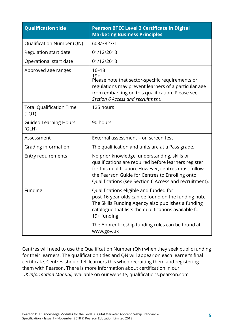| <b>Qualification title</b>               | <b>Pearson BTEC Level 3 Certificate in Digital</b><br><b>Marketing Business Principles</b>                                                                                                                                                                                |  |
|------------------------------------------|---------------------------------------------------------------------------------------------------------------------------------------------------------------------------------------------------------------------------------------------------------------------------|--|
| Qualification Number (QN)                | 603/3827/1                                                                                                                                                                                                                                                                |  |
| Regulation start date                    | 01/12/2018                                                                                                                                                                                                                                                                |  |
| Operational start date                   | 01/12/2018                                                                                                                                                                                                                                                                |  |
| Approved age ranges                      | $16 - 18$<br>$19+$<br>Please note that sector-specific requirements or<br>regulations may prevent learners of a particular age<br>from embarking on this qualification. Please see<br>Section 6 Access and recruitment.                                                   |  |
| <b>Total Qualification Time</b><br>(TQT) | 125 hours                                                                                                                                                                                                                                                                 |  |
| <b>Guided Learning Hours</b><br>(GLH)    | 90 hours                                                                                                                                                                                                                                                                  |  |
| Assessment                               | External assessment - on screen test                                                                                                                                                                                                                                      |  |
| Grading information                      | The qualification and units are at a Pass grade.                                                                                                                                                                                                                          |  |
| Entry requirements                       | No prior knowledge, understanding, skills or<br>qualifications are required before learners register<br>for this qualification. However, centres must follow<br>the Pearson Guide for Centres to Enrolling onto<br>Qualifications (see Section 6 Access and recruitment). |  |
| Funding                                  | Qualifications eligible and funded for<br>post-16-year-olds can be found on the funding hub.<br>The Skills Funding Agency also publishes a funding<br>catalogue that lists the qualifications available for<br>19+ funding.                                               |  |
|                                          | The Apprenticeship funding rules can be found at<br>www.gov.uk                                                                                                                                                                                                            |  |

Centres will need to use the Qualification Number (QN) when they seek public funding for their learners. The qualification titles and QN will appear on each learner's final certificate. Centres should tell learners this when recruiting them and registering them with Pearson. There is more information about certification in our *UK Information Manual,* available on our website, qualifications.pearson.com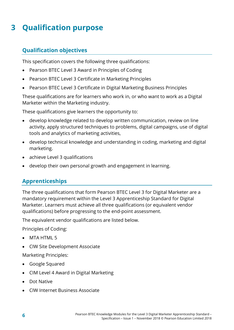# <span id="page-9-0"></span>**3 Qualification purpose**

### <span id="page-9-1"></span>**Qualification objectives**

This specification covers the following three qualifications:

- Pearson BTEC Level 3 Award in Principles of Coding
- Pearson BTEC Level 3 Certificate in Marketing Principles
- Pearson BTEC Level 3 Certificate in Digital Marketing Business Principles

These qualifications are for learners who work in, or who want to work as a Digital Marketer within the Marketing industry.

These qualifications give learners the opportunity to:

- develop knowledge related to develop written communication, review on line activity, apply structured techniques to problems, digital campaigns, use of digital tools and analytics of marketing activities,
- develop technical knowledge and understanding in coding, marketing and digital marketing.
- achieve Level 3 qualifications
- <span id="page-9-2"></span>• develop their own personal growth and engagement in learning.

### **Apprenticeships**

The three qualifications that form Pearson BTEC Level 3 for Digital Marketer are a mandatory requirement within the Level 3 Apprenticeship Standard for Digital Marketer. Learners must achieve all three qualifications (or equivalent vendor qualifications) before progressing to the end-point assessment.

The equivalent vendor qualifications are listed below.

Principles of Coding:

- MTA HTML 5
- CIW Site Development Associate

Marketing Principles:

- Google Squared
- CIM Level 4 Award in Digital Marketing
- Dot Native
- CIW Internet Business Associate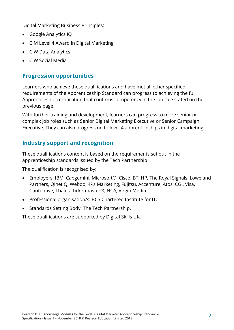Digital Marketing Business Principles:

- Google Analytics IQ
- CIM Level 4 Award in Digital Marketing
- CIW Data Analytics
- <span id="page-10-0"></span>• CIW Social Media

#### **Progression opportunities**

Learners who achieve these qualifications and have met all other specified requirements of the Apprenticeship Standard can progress to achieving the full Apprenticeship certification that confirms competency in the job role stated on the previous page.

With further training and development, learners can progress to more senior or complex job roles such as Senior Digital Marketing Executive or Senior Campaign Executive. They can also progress on to level 4 apprenticeships in digital marketing.

### <span id="page-10-1"></span>**Industry support and recognition**

These qualifications content is based on the requirements set out in the apprenticeship standards issued by the Tech Partnership

The qualification is recognised by:

- Employers: IBM, Capgemini, Microsoft®, Cisco, BT, HP, The Royal Signals, Lowe and Partners, QinetiQ, Weboo, 4Ps Marketing, Fujitsu, Accenture, Atos, CGI, Visa, Contentive, Thales, Ticketmaster®, NCA, Virgin Media.
- Professional organisation/s: BCS Chartered Institute for IT.
- Standards Setting Body: The Tech Partnership.

These qualifications are supported by Digital Skills UK.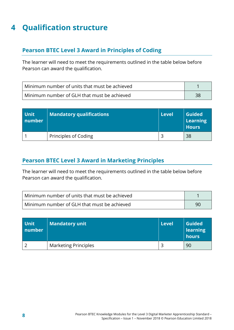# <span id="page-11-0"></span>**4 Qualification structure**

#### <span id="page-11-1"></span>**Pearson BTEC Level 3 Award in Principles of Coding**

The learner will need to meet the requirements outlined in the table below before Pearson can award the qualification.

| l Minimum number of units that must be achieved |  |
|-------------------------------------------------|--|
| Minimum number of GLH that must be achieved     |  |

| <b>Unit</b><br>number | Mandatory qualifications | <b>Level</b> | <b>Guided</b><br>Learning<br><b>Hours</b> |
|-----------------------|--------------------------|--------------|-------------------------------------------|
|                       | Principles of Coding     |              | 38                                        |

#### <span id="page-11-2"></span>**Pearson BTEC Level 3 Award in Marketing Principles**

The learner will need to meet the requirements outlined in the table below before Pearson can award the qualification.

| l Minimum number of units that must be achieved |  |
|-------------------------------------------------|--|
| l Minimum number of GLH that must be achieved   |  |

| <b>Unit</b><br>number | <b>Mandatory unit</b>       | <b>Level</b> | <b>Guided</b><br>learning<br>hours |
|-----------------------|-----------------------------|--------------|------------------------------------|
|                       | <b>Marketing Principles</b> |              | 90                                 |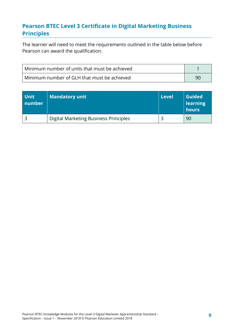### <span id="page-12-0"></span>**Pearson BTEC Level 3 Certificate in Digital Marketing Business Principles**

The learner will need to meet the requirements outlined in the table below before Pearson can award the qualification.

| Minimum number of units that must be achieved |    |
|-----------------------------------------------|----|
| Minimum number of GLH that must be achieved   | 90 |

| <b>Unit</b><br>number | <b>Mandatory unit</b>                 | l Level | <b>Guided</b><br><b>learning</b><br>hours |
|-----------------------|---------------------------------------|---------|-------------------------------------------|
|                       | Digital Marketing Business Principles |         | 90                                        |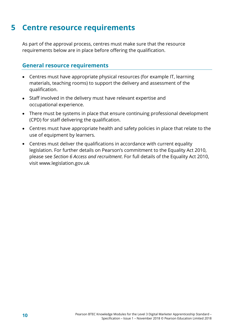### <span id="page-13-0"></span>**5 Centre resource requirements**

As part of the approval process, centres must make sure that the resource requirements below are in place before offering the qualification.

#### <span id="page-13-1"></span>**General resource requirements**

- Centres must have appropriate physical resources (for example IT, learning materials, teaching rooms) to support the delivery and assessment of the qualification.
- Staff involved in the delivery must have relevant expertise and occupational experience.
- There must be systems in place that ensure continuing professional development (CPD) for staff delivering the qualification.
- Centres must have appropriate health and safety policies in place that relate to the use of equipment by learners.
- Centres must deliver the qualifications in accordance with current equality legislation. For further details on Pearson's commitment to the Equality Act 2010, please see *Section 6 Access and recruitment*. For full details of the Equality Act 2010, visit www.legislation.gov.uk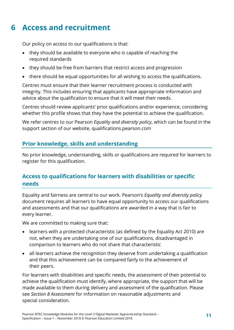# <span id="page-14-0"></span>**6 Access and recruitment**

Our policy on access to our qualifications is that:

- they should be available to everyone who is capable of reaching the required standards
- they should be free from barriers that restrict access and progression
- there should be equal opportunities for all wishing to access the qualifications.

Centres must ensure that their learner recruitment process is conducted with integrity. This includes ensuring that applicants have appropriate information and advice about the qualification to ensure that it will meet their needs.

Centres should review applicants' prior qualifications and/or experience, considering whether this profile shows that they have the potential to achieve the qualification.

We refer centres to our Pearson *Equality and diversity policy*, which can be found in the support section of our website, qualifications.pearson.com

### <span id="page-14-1"></span>**Prior knowledge, skills and understanding**

No prior knowledge, understanding, skills or qualifications are required for learners to register for this qualification.

### <span id="page-14-2"></span>**Access to qualifications for learners with disabilities or specific needs**

Equality and fairness are central to our work. Pearson's *Equality and diversity policy* document requires all learners to have equal opportunity to access our qualifications and assessments and that our qualifications are awarded in a way that is fair to every learner.

We are committed to making sure that:

- learners with a protected characteristic (as defined by the Equality Act 2010) are not, when they are undertaking one of our qualifications, disadvantaged in comparison to learners who do not share that characteristic
- all learners achieve the recognition they deserve from undertaking a qualification and that this achievement can be compared fairly to the achievement of their peers.

For learners with disabilities and specific needs, the assessment of their potential to achieve the qualification must identify, where appropriate, the support that will be made available to them during delivery and assessment of the qualification. Please see *Section 8 Assessment* for information on reasonable adjustments and special consideration.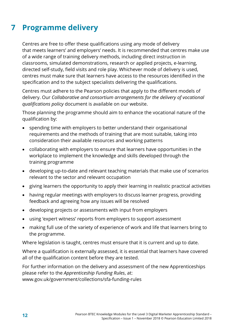# <span id="page-15-0"></span>**7 Programme delivery**

Centres are free to offer these qualifications using any mode of delivery that meets learners' and employers' needs. It is recommended that centres make use of a wide range of training delivery methods, including direct instruction in classrooms, simulated demonstrations, research or applied projects, e-learning, directed self-study, field visits and role play. Whichever mode of delivery is used, centres must make sure that learners have access to the resources identified in the specification and to the subject specialists delivering the qualifications.

Centres must adhere to the Pearson policies that apply to the different models of delivery. Our *Collaborative and consortium arrangements for the delivery of vocational qualifications policy* document is available on our website.

Those planning the programme should aim to enhance the vocational nature of the qualification by:

- spending time with employers to better understand their organisational requirements and the methods of training that are most suitable, taking into consideration their available resources and working patterns
- collaborating with employers to ensure that learners have opportunities in the workplace to implement the knowledge and skills developed through the training programme
- developing up-to-date and relevant teaching materials that make use of scenarios relevant to the sector and relevant occupation
- giving learners the opportunity to apply their learning in realistic practical activities
- having regular meetings with employers to discuss learner progress, providing feedback and agreeing how any issues will be resolved
- developing projects or assessments with input from employers
- using 'expert witness' reports from employers to support assessment
- making full use of the variety of experience of work and life that learners bring to the programme.

Where legislation is taught, centres must ensure that it is current and up to date.

Where a qualification is externally assessed, it is essential that learners have covered all of the qualification content before they are tested.

For further information on the delivery and assessment of the new Apprenticeships please refer to the *Apprenticeship Funding Rules*, at: www.gov.uk/government/collections/sfa-funding-rules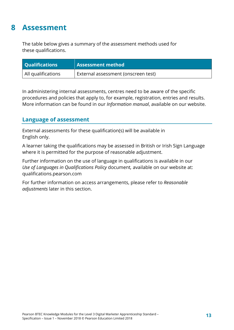### <span id="page-16-0"></span>**8 Assessment**

The table below gives a summary of the assessment methods used for these qualifications.

| <b>Qualifications</b>     | Assessment method                   |
|---------------------------|-------------------------------------|
| $\mid$ All qualifications | External assessment (onscreen test) |

In administering internal assessments, centres need to be aware of the specific procedures and policies that apply to, for example, registration, entries and results. More information can be found in our *Information manual*, available on our website.

#### <span id="page-16-1"></span>**Language of assessment**

External assessments for these qualification(s) will be available in English only.

A learner taking the qualifications may be assessed in British or Irish Sign Language where it is permitted for the purpose of reasonable adjustment.

Further information on the use of language in qualifications is available in our *Use of Languages in Qualifications Policy* document*,* available on our website at: qualifications.pearson.com

For further information on access arrangements, please refer to *Reasonable adjustments* later in this section.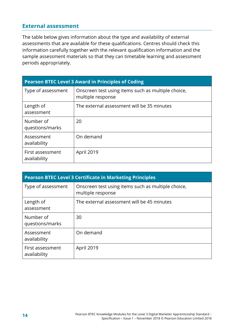#### <span id="page-17-0"></span>**External assessment**

The table below gives information about the type and availability of external assessments that are available for these qualifications. Centres should check this information carefully together with the relevant qualification information and the sample assessment materials so that they can timetable learning and assessment periods appropriately.

| <b>Pearson BTEC Level 3 Award in Principles of Coding</b> |                                                                         |  |  |  |
|-----------------------------------------------------------|-------------------------------------------------------------------------|--|--|--|
| Type of assessment                                        | Onscreen test using items such as multiple choice,<br>multiple response |  |  |  |
| Length of<br>assessment                                   | The external assessment will be 35 minutes                              |  |  |  |
| Number of<br>questions/marks                              | 20                                                                      |  |  |  |
| Assessment<br>availability                                | On demand                                                               |  |  |  |
| First assessment<br>availability                          | April 2019                                                              |  |  |  |

| <b>Pearson BTEC Level 3 Certificate in Marketing Principles</b> |                                                                         |  |  |  |
|-----------------------------------------------------------------|-------------------------------------------------------------------------|--|--|--|
| Type of assessment                                              | Onscreen test using items such as multiple choice,<br>multiple response |  |  |  |
| Length of<br>assessment                                         | The external assessment will be 45 minutes                              |  |  |  |
| Number of<br>questions/marks                                    | 30                                                                      |  |  |  |
| Assessment<br>availability                                      | On demand                                                               |  |  |  |
| First assessment<br>availability                                | April 2019                                                              |  |  |  |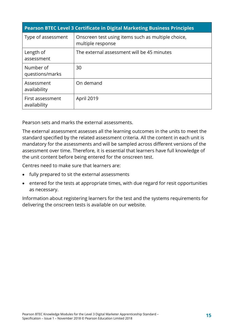| <b>Pearson BTEC Level 3 Certificate in Digital Marketing Business Principles</b> |                                                                         |  |  |  |
|----------------------------------------------------------------------------------|-------------------------------------------------------------------------|--|--|--|
| Type of assessment                                                               | Onscreen test using items such as multiple choice,<br>multiple response |  |  |  |
| Length of<br>assessment                                                          | The external assessment will be 45 minutes                              |  |  |  |
| Number of<br>questions/marks                                                     | 30                                                                      |  |  |  |
| Assessment<br>availability                                                       | On demand                                                               |  |  |  |
| First assessment<br>availability                                                 | April 2019                                                              |  |  |  |

Pearson sets and marks the external assessments.

The external assessment assesses all the learning outcomes in the units to meet the standard specified by the related assessment criteria. All the content in each unit is mandatory for the assessments and will be sampled across different versions of the assessment over time. Therefore, it is essential that learners have full knowledge of the unit content before being entered for the onscreen test.

Centres need to make sure that learners are:

- fully prepared to sit the external assessments
- entered for the tests at appropriate times, with due regard for resit opportunities as necessary.

Information about registering learners for the test and the systems requirements for delivering the onscreen tests is available on our website.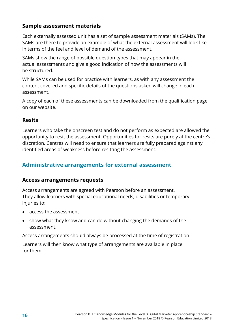#### <span id="page-19-0"></span>**Sample assessment materials**

Each externally assessed unit has a set of sample assessment materials (SAMs). The SAMs are there to provide an example of what the external assessment will look like in terms of the feel and level of demand of the assessment.

SAMs show the range of possible question types that may appear in the actual assessments and give a good indication of how the assessments will be structured.

While SAMs can be used for practice with learners, as with any assessment the content covered and specific details of the questions asked will change in each assessment.

A copy of each of these assessments can be downloaded from the qualification page on our website.

#### <span id="page-19-1"></span>**Resits**

Learners who take the onscreen test and do not perform as expected are allowed the opportunity to resit the assessment. Opportunities for resits are purely at the centre's discretion. Centres will need to ensure that learners are fully prepared against any identified areas of weakness before resitting the assessment.

#### <span id="page-19-2"></span>**Administrative arrangements for external assessment**

#### <span id="page-19-3"></span>**Access arrangements requests**

Access arrangements are agreed with Pearson before an assessment. They allow learners with special educational needs, disabilities or temporary injuries to:

- access the assessment
- show what they know and can do without changing the demands of the assessment.

Access arrangements should always be processed at the time of registration.

Learners will then know what type of arrangements are available in place for them.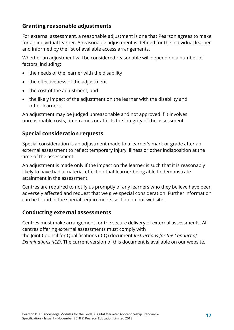#### <span id="page-20-0"></span>**Granting reasonable adjustments**

For external assessment, a reasonable adjustment is one that Pearson agrees to make for an individual learner. A reasonable adjustment is defined for the individual learner and informed by the list of available access arrangements.

Whether an adjustment will be considered reasonable will depend on a number of factors, including:

- the needs of the learner with the disability
- the effectiveness of the adjustment
- the cost of the adjustment; and
- the likely impact of the adjustment on the learner with the disability and other learners.

An adjustment may be judged unreasonable and not approved if it involves unreasonable costs, timeframes or affects the integrity of the assessment.

#### <span id="page-20-1"></span>**Special consideration requests**

Special consideration is an adjustment made to a learner's mark or grade after an external assessment to reflect temporary injury, illness or other indisposition at the time of the assessment.

An adjustment is made only if the impact on the learner is such that it is reasonably likely to have had a material effect on that learner being able to demonstrate attainment in the assessment.

Centres are required to notify us promptly of any learners who they believe have been adversely affected and request that we give special consideration. Further information can be found in the special requirements section on our website.

#### <span id="page-20-2"></span>**Conducting external assessments**

Centres must make arrangement for the secure delivery of external assessments. All centres offering external assessments must comply with the Joint Council for Qualifications (JCQ) document *Instructions for the Conduct of Examinations (ICE)*. The current version of this document is available on our website.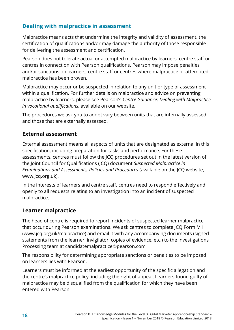### <span id="page-21-0"></span>**Dealing with malpractice in assessment**

Malpractice means acts that undermine the integrity and validity of assessment, the certification of qualifications and/or may damage the authority of those responsible for delivering the assessment and certification.

Pearson does not tolerate actual or attempted malpractice by learners, centre staff or centres in connection with Pearson qualifications. Pearson may impose penalties and/or sanctions on learners, centre staff or centres where malpractice or attempted malpractice has been proven.

Malpractice may occur or be suspected in relation to any unit or type of assessment within a qualification. For further details on malpractice and advice on preventing malpractice by learners, please see Pearson's *Centre Guidance: Dealing with Malpractice in vocational qualifications*, available on our website.

The procedures we ask you to adopt vary between units that are internally assessed and those that are externally assessed.

#### <span id="page-21-1"></span>**External assessment**

External assessment means all aspects of units that are designated as external in this specification, including preparation for tasks and performance. For these assessments, centres must follow the JCQ procedures set out in the latest version of the Joint Council for Qualifications (JCQ) document *Suspected Malpractice in Examinations and Assessments, Policies and Procedures* (available on the JCQ website, www.jcq.org.uk).

In the interests of learners and centre staff, centres need to respond effectively and openly to all requests relating to an investigation into an incident of suspected malpractice.

#### <span id="page-21-2"></span>**Learner malpractice**

The head of centre is required to report incidents of suspected learner malpractice that occur during Pearson examinations. We ask centres to complete JCQ Form M1 (www.jcq.org.uk/malpractice) and email it with any accompanying documents (signed statements from the learner, invigilator, copies of evidence, etc.) to the Investigations Processing team at candidatemalpractice@pearson.com

The responsibility for determining appropriate sanctions or penalties to be imposed on learners lies with Pearson.

Learners must be informed at the earliest opportunity of the specific allegation and the centre's malpractice policy, including the right of appeal. Learners found guilty of malpractice may be disqualified from the qualification for which they have been entered with Pearson.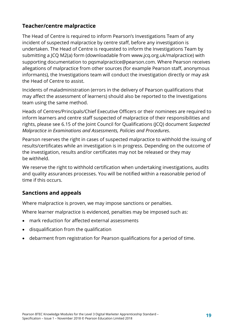### <span id="page-22-0"></span>**Teacher/centre malpractice**

The Head of Centre is required to inform Pearson's Investigations Team of any incident of suspected malpractice by centre staff, before any investigation is undertaken. The Head of Centre is requested to inform the Investigations Team by submitting a JCQ M2(a) form (downloadable from www.jcq.org.uk/malpractice) with supporting documentation to pqsmalpractice@pearson.com. Where Pearson receives allegations of malpractice from other sources (for example Pearson staff, anonymous informants), the Investigations team will conduct the investigation directly or may ask the Head of Centre to assist.

Incidents of maladministration (errors in the delivery of Pearson qualifications that may affect the assessment of learners) should also be reported to the Investigations team using the same method.

Heads of Centres/Principals/Chief Executive Officers or their nominees are required to inform learners and centre staff suspected of malpractice of their responsibilities and rights, please see 6.15 of the Joint Council for Qualifications (JCQ) document *Suspected Malpractice in Examinations and Assessments, Policies and Procedures*.

Pearson reserves the right in cases of suspected malpractice to withhold the issuing of results/certificates while an investigation is in progress. Depending on the outcome of the investigation, results and/or certificates may not be released or they may be withheld.

We reserve the right to withhold certification when undertaking investigations, audits and quality assurances processes. You will be notified within a reasonable period of time if this occurs.

#### <span id="page-22-1"></span>**Sanctions and appeals**

Where malpractice is proven, we may impose sanctions or penalties.

Where learner malpractice is evidenced, penalties may be imposed such as:

- mark reduction for affected external assessments
- disqualification from the qualification
- debarment from registration for Pearson qualifications for a period of time.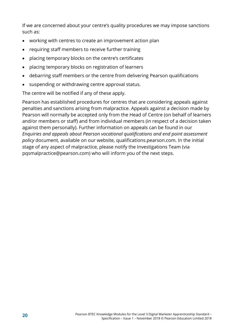If we are concerned about your centre's quality procedures we may impose sanctions such as:

- working with centres to create an improvement action plan
- requiring staff members to receive further training
- placing temporary blocks on the centre's certificates
- placing temporary blocks on registration of learners
- debarring staff members or the centre from delivering Pearson qualifications
- suspending or withdrawing centre approval status.

The centre will be notified if any of these apply.

Pearson has established procedures for centres that are considering appeals against penalties and sanctions arising from malpractice. Appeals against a decision made by Pearson will normally be accepted only from the Head of Centre (on behalf of learners and/or members or staff) and from individual members (in respect of a decision taken against them personally). Further information on appeals can be found in our *Enquiries and appeals about Pearson vocational qualifications and end point assessment policy* document*,* available on our website, qualifications.pearson.com. In the initial stage of any aspect of malpractice, please notify the Investigations Team (via pqsmalpractice@pearson.com) who will inform you of the next steps.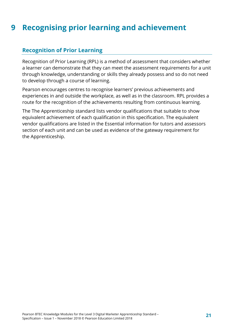# <span id="page-24-0"></span>**9 Recognising prior learning and achievement**

#### <span id="page-24-1"></span>**Recognition of Prior Learning**

Recognition of Prior Learning (RPL) is a method of assessment that considers whether a learner can demonstrate that they can meet the assessment requirements for a unit through knowledge, understanding or skills they already possess and so do not need to develop through a course of learning.

Pearson encourages centres to recognise learners' previous achievements and experiences in and outside the workplace, as well as in the classroom. RPL provides a route for the recognition of the achievements resulting from continuous learning.

The The Apprenticeship standard lists vendor qualifications that suitable to show equivalent achievement of each qualification in this specification. The equivalent vendor qualifications are listed in the Essential information for tutors and assessors section of each unit and can be used as evidence of the gateway requirement for the Apprenticeship.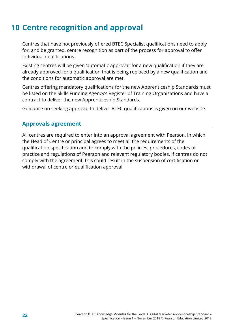# <span id="page-25-0"></span>**10 Centre recognition and approval**

Centres that have not previously offered BTEC Specialist qualifications need to apply for, and be granted, centre recognition as part of the process for approval to offer individual qualifications.

Existing centres will be given 'automatic approval' for a new qualification if they are already approved for a qualification that is being replaced by a new qualification and the conditions for automatic approval are met.

Centres offering mandatory qualifications for the new Apprenticeship Standards must be listed on the Skills Funding Agency's Register of Training Organisations and have a contract to deliver the new Apprenticeship Standards.

<span id="page-25-1"></span>Guidance on seeking approval to deliver BTEC qualifications is given on our website.

#### **Approvals agreement**

All centres are required to enter into an approval agreement with Pearson, in which the Head of Centre or principal agrees to meet all the requirements of the qualification specification and to comply with the policies, procedures, codes of practice and regulations of Pearson and relevant regulatory bodies. If centres do not comply with the agreement, this could result in the suspension of certification or withdrawal of centre or qualification approval.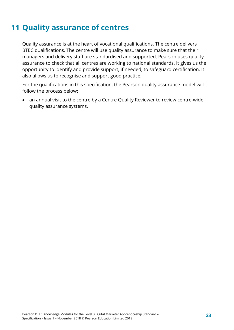# <span id="page-26-0"></span>**11 Quality assurance of centres**

Quality assurance is at the heart of vocational qualifications. The centre delivers BTEC qualifications. The centre will use quality assurance to make sure that their managers and delivery staff are standardised and supported. Pearson uses quality assurance to check that all centres are working to national standards. It gives us the opportunity to identify and provide support, if needed, to safeguard certification. It also allows us to recognise and support good practice.

For the qualifications in this specification, the Pearson quality assurance model will follow the process below:

• an annual visit to the centre by a Centre Quality Reviewer to review centre-wide quality assurance systems.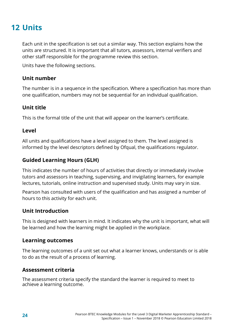## <span id="page-27-0"></span>**12 Units**

Each unit in the specification is set out a similar way. This section explains how the units are structured. It is important that all tutors, assessors, internal verifiers and other staff responsible for the programme review this section.

Units have the following sections.

#### **Unit number**

The number is in a sequence in the specification. Where a specification has more than one qualification, numbers may not be sequential for an individual qualification.

#### **Unit title**

This is the formal title of the unit that will appear on the learner's certificate.

#### **Level**

All units and qualifications have a level assigned to them. The level assigned is informed by the level descriptors defined by Ofqual, the qualifications regulator.

#### **Guided Learning Hours (GLH)**

This indicates the number of hours of activities that directly or immediately involve tutors and assessors in teaching, supervising, and invigilating learners, for example lectures, tutorials, online instruction and supervised study. Units may vary in size.

Pearson has consulted with users of the qualification and has assigned a number of hours to this activity for each unit.

#### **Unit Introduction**

This is designed with learners in mind. It indicates why the unit is important, what will be learned and how the learning might be applied in the workplace.

#### **Learning outcomes**

The learning outcomes of a unit set out what a learner knows, understands or is able to do as the result of a process of learning.

#### **Assessment criteria**

The assessment criteria specify the standard the learner is required to meet to achieve a learning outcome.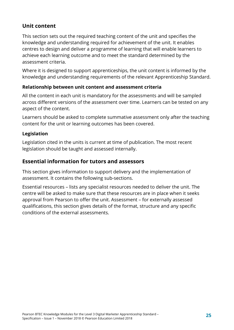### **Unit content**

This section sets out the required teaching content of the unit and specifies the knowledge and understanding required for achievement of the unit. It enables centres to design and deliver a programme of learning that will enable learners to achieve each learning outcome and to meet the standard determined by the assessment criteria.

Where it is designed to support apprenticeships, the unit content is informed by the knowledge and understanding requirements of the relevant Apprenticeship Standard.

#### **Relationship between unit content and assessment criteria**

All the content in each unit is mandatory for the assessments and will be sampled across different versions of the assessment over time. Learners can be tested on any aspect of the content.

Learners should be asked to complete summative assessment only after the teaching content for the unit or learning outcomes has been covered.

#### **Legislation**

Legislation cited in the units is current at time of publication. The most recent legislation should be taught and assessed internally.

#### **Essential information for tutors and assessors**

This section gives information to support delivery and the implementation of assessment. It contains the following sub-sections.

Essential resources – lists any specialist resources needed to deliver the unit. The centre will be asked to make sure that these resources are in place when it seeks approval from Pearson to offer the unit. Assessment – for externally assessed qualifications, this section gives details of the format, structure and any specific conditions of the external assessments.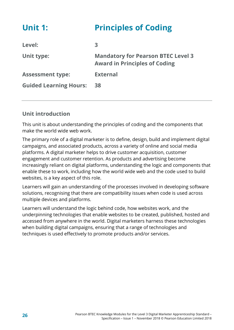<span id="page-29-0"></span>

| <b>Unit 1:</b>                | <b>Principles of Coding</b>                                                       |
|-------------------------------|-----------------------------------------------------------------------------------|
| Level:                        | 3                                                                                 |
| Unit type:                    | <b>Mandatory for Pearson BTEC Level 3</b><br><b>Award in Principles of Coding</b> |
| <b>Assessment type:</b>       | <b>External</b>                                                                   |
| <b>Guided Learning Hours:</b> | 38                                                                                |

### **Unit introduction**

This unit is about understanding the principles of coding and the components that make the world wide web work.

The primary role of a digital marketer is to define, design, build and implement digital campaigns, and associated products, across a variety of online and social media platforms. A digital marketer helps to drive customer acquisition, customer engagement and customer retention. As products and advertising become increasingly reliant on digital platforms, understanding the logic and components that enable these to work, including how the world wide web and the code used to build websites, is a key aspect of this role.

Learners will gain an understanding of the processes involved in developing software solutions, recognising that there are compatibility issues when code is used across multiple devices and platforms.

Learners will understand the logic behind code, how websites work, and the underpinning technologies that enable websites to be created, published, hosted and accessed from anywhere in the world. Digital marketers harness these technologies when building digital campaigns, ensuring that a range of technologies and techniques is used effectively to promote products and/or services.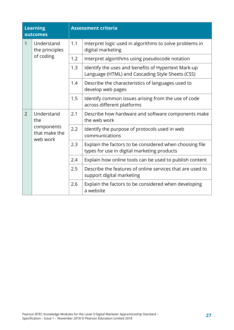| <b>Learning</b><br>outcomes |                                                              | <b>Assessment criteria</b> |                                                                                                         |
|-----------------------------|--------------------------------------------------------------|----------------------------|---------------------------------------------------------------------------------------------------------|
| 1                           | Understand<br>the principles<br>of coding                    | 1.1                        | Interpret logic used in algorithms to solve problems in<br>digital marketing                            |
|                             |                                                              | 1.2                        | Interpret algorithms using pseudocode notation                                                          |
|                             |                                                              | 1.3                        | Identify the uses and benefits of Hypertext Mark-up<br>Language (HTML) and Cascading Style Sheets (CSS) |
|                             |                                                              | 1.4                        | Describe the characteristics of languages used to<br>develop web pages                                  |
|                             |                                                              | 1.5                        | Identify common issues arising from the use of code<br>across different platforms                       |
| 2                           | Understand<br>the<br>components<br>that make the<br>web work | 2.1                        | Describe how hardware and software components make<br>the web work                                      |
|                             |                                                              | 2.2                        | Identify the purpose of protocols used in web<br>communications                                         |
|                             |                                                              | 2.3                        | Explain the factors to be considered when choosing file<br>types for use in digital marketing products  |
|                             |                                                              | 2.4                        | Explain how online tools can be used to publish content                                                 |
|                             |                                                              | 2.5                        | Describe the features of online services that are used to<br>support digital marketing                  |
|                             |                                                              | 2.6                        | Explain the factors to be considered when developing<br>a website                                       |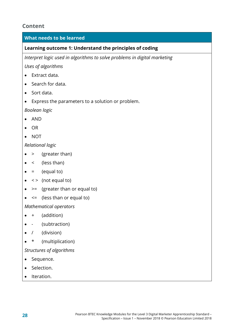### **Content**

#### **What needs to be learned**

#### **Learning outcome 1: Understand the principles of coding**

*Interpret logic used in algorithms to solve problems in digital marketing*

*Uses of algorithms*

- Extract data.
- Search for data.
- Sort data.
- Express the parameters to a solution or problem.

*Boolean logic*

- AND
- OR
- NOT

*Relational logic*

- > (greater than)
- $\bullet \quad \langle$  (less than)
- $\bullet$  = (equal to)
- $\bullet \leq$   $\leq$  (not equal to)
- $\bullet$  >= (greater than or equal to)
- $\bullet \leq$  (less than or equal to)

*Mathematical operators*

- $\bullet$  + (addition)
- - (subtraction)
- / (division)
- \* (multiplication)

*Structures of algorithms*

- Sequence.
- Selection.
- Iteration.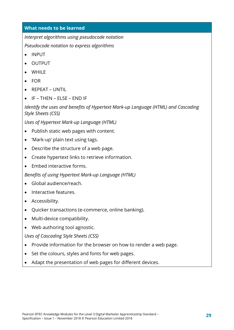*Interpret algorithms using pseudocode notation*

*Pseudocode notation to express algorithms*

- INPUT
- OUTPUT
- WHILE
- FOR
- REPEAT UNTIL
- IF THEN ELSE END IF

*Identify the uses and benefits of Hypertext Mark-up Language (HTML) and Cascading Style Sheets (CSS)*

*Uses of Hypertext Mark-up Language (HTML)*

- Publish static web pages with content.
- 'Mark-up' plain text using tags.
- Describe the structure of a web page.
- Create hypertext links to retrieve information.
- Embed interactive forms.

*Benefits of using Hypertext Mark-up Language (HTML)*

- Global audience/reach.
- Interactive features.
- Accessibility.
- Quicker transactions (e-commerce, online banking).
- Multi-device compatibility.
- Web authoring tool agnostic.

*Uses of Cascading Style Sheets (CSS)*

- Provide information for the browser on how to render a web page.
- Set the colours, styles and fonts for web pages.
- Adapt the presentation of web pages for different devices.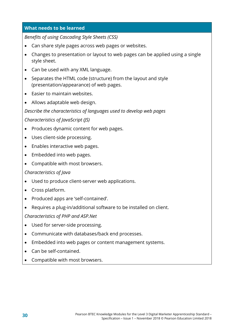*Benefits of using Cascading Style Sheets (CSS)*

- Can share style pages across web pages or websites.
- Changes to presentation or layout to web pages can be applied using a single style sheet.
- Can be used with any XML language.
- Separates the HTML code (structure) from the layout and style (presentation/appearance) of web pages.
- Easier to maintain websites.
- Allows adaptable web design.

#### *Describe the characteristics of languages used to develop web pages*

*Characteristics of JavaScript (JS)* 

- Produces dynamic content for web pages.
- Uses client-side processing.
- Enables interactive web pages.
- Embedded into web pages.
- Compatible with most browsers.

#### *Characteristics of Java*

- Used to produce client-server web applications.
- Cross platform.
- Produced apps are 'self-contained'.
- Requires a plug-in/additional software to be installed on client.

*Characteristics of PHP and ASP.Net* 

- Used for server-side processing.
- Communicate with databases/back end processes.
- Embedded into web pages or content management systems.
- Can be self-contained.
- Compatible with most browsers.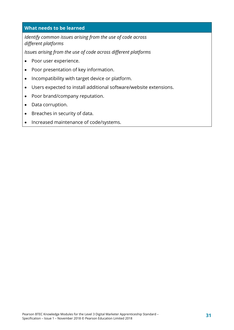*Identify common issues arising from the use of code across different platforms*

*Issues arising from the use of code across different platforms*

- Poor user experience.
- Poor presentation of key information.
- Incompatibility with target device or platform.
- Users expected to install additional software/website extensions.
- Poor brand/company reputation.
- Data corruption.
- Breaches in security of data.
- Increased maintenance of code/systems.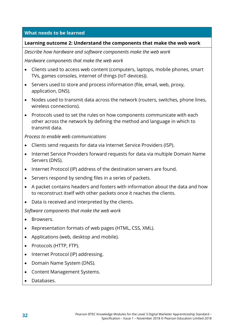#### **Learning outcome 2: Understand the components that make the web work**

*Describe how hardware and software components make the web work*

*Hardware components that make the web work*

- Clients used to access web content (computers, laptops, mobile phones, smart TVs, games consoles, internet of things (IoT devices)).
- Servers used to store and process information (file, email, web, proxy, application, DNS).
- Nodes used to transmit data across the network (routers, switches, phone lines, wireless connections).
- Protocols used to set the rules on how components communicate with each other across the network by defining the method and language in which to transmit data.

*Process to enable web communications*

- Clients send requests for data via Internet Service Providers (ISP).
- Internet Service Providers forward requests for data via multiple Domain Name Servers (DNS).
- Internet Protocol (IP) address of the destination servers are found.
- Servers respond by sending files in a series of packets.
- A packet contains headers and footers with information about the data and how to reconstruct itself with other packets once it reaches the clients.
- Data is received and interpreted by the clients.

*Software components that make the web work*

- Browsers.
- Representation formats of web pages (HTML, CSS, XML).
- Applications (web, desktop and mobile).
- Protocols (HTTP, FTP).
- Internet Protocol (IP) addressing.
- Domain Name System (DNS).
- Content Management Systems.
- Databases.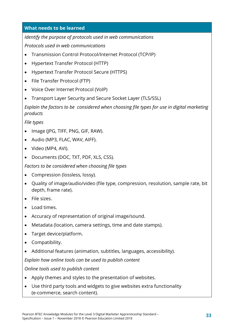*Identify the purpose of protocols used in web communications*

*Protocols used in web communications*

- Transmission Control Protocol/Internet Protocol (TCP/IP)
- Hypertext Transfer Protocol (HTTP)
- Hypertext Transfer Protocol Secure (HTTPS)
- File Transfer Protocol (FTP)
- Voice Over Internet Protocol (VoIP)
- Transport Layer Security and Secure Socket Layer (TLS/SSL)

*Explain the factors to be considered when choosing file types for use in digital marketing products*

*File types*

- Image (JPG, TIFF, PNG, GIF, RAW).
- Audio (MP3, FLAC, WAV, AIFF).
- Video (MP4, AVI).
- Documents (DOC, TXT, PDF, XLS, CSS).

*Factors to be considered when choosing file types*

- Compression (lossless, lossy).
- Quality of image/audio/video (file type, compression, resolution, sample rate, bit depth, frame rate).
- File sizes.
- Load times.
- Accuracy of representation of original image/sound.
- Metadata (location, camera settings, time and date stamps).
- Target device/platform.
- Compatibility.
- Additional features (animation, subtitles, languages, accessibility).

*Explain how online tools can be used to publish content*

*Online tools used to publish content*

- Apply themes and styles to the presentation of websites.
- Use third party tools and widgets to give websites extra functionality (e-commerce, search content).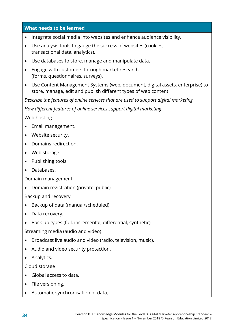- Integrate social media into websites and enhance audience visibility.
- Use analysis tools to gauge the success of websites (cookies, transactional data, analytics).
- Use databases to store, manage and manipulate data.
- Engage with customers through market research (forms, questionnaires, surveys).
- Use Content Management Systems (web, document, digital assets, enterprise) to store, manage, edit and publish different types of web content.

*Describe the features of online services that are used to support digital marketing*

*How different features of online services support digital marketing*

Web hosting

- Email management.
- Website security.
- Domains redirection.
- Web storage.
- Publishing tools.
- Databases.

Domain management

• Domain registration (private, public).

Backup and recovery

- Backup of data (manual/scheduled).
- Data recovery.
- Back-up types (full, incremental, differential, synthetic).

Streaming media (audio and video)

- Broadcast live audio and video (radio, television, music).
- Audio and video security protection.
- Analytics.

Cloud storage

- Global access to data.
- File versioning.
- Automatic synchronisation of data.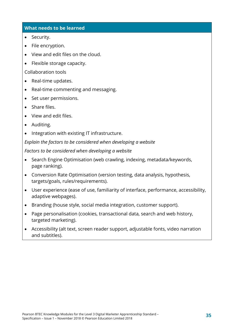- Security.
- File encryption.
- View and edit files on the cloud.
- Flexible storage capacity.

Collaboration tools

- Real-time updates.
- Real-time commenting and messaging.
- Set user permissions.
- Share files.
- View and edit files.
- Auditing.
- Integration with existing IT infrastructure.

*Explain the factors to be considered when developing a website*

*Factors to be considered when developing a website*

- Search Engine Optimisation (web crawling, indexing, metadata/keywords, page ranking).
- Conversion Rate Optimisation (version testing, data analysis, hypothesis, targets/goals, rules/requirements).
- User experience (ease of use, familiarity of interface, performance, accessibility, adaptive webpages).
- Branding (house style, social media integration, customer support).
- Page personalisation (cookies, transactional data, search and web history, targeted marketing).
- Accessibility (alt text, screen reader support, adjustable fonts, video narration and subtitles).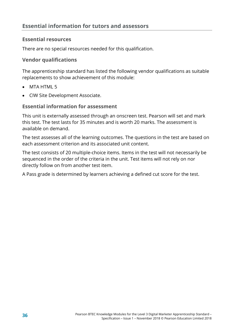# **Essential resources**

There are no special resources needed for this qualification.

## **Vendor qualifications**

The apprenticeship standard has listed the following vendor qualifications as suitable replacements to show achievement of this module:

- MTA HTML 5
- CIW Site Development Associate.

# **Essential information for assessment**

This unit is externally assessed through an onscreen test. Pearson will set and mark this test. The test lasts for 35 minutes and is worth 20 marks. The assessment is available on demand.

The test assesses all of the learning outcomes. The questions in the test are based on each assessment criterion and its associated unit content.

The test consists of 20 multiple-choice items. Items in the test will not necessarily be sequenced in the order of the criteria in the unit. Test items will not rely on nor directly follow on from another test item.

A Pass grade is determined by learners achieving a defined cut score for the test.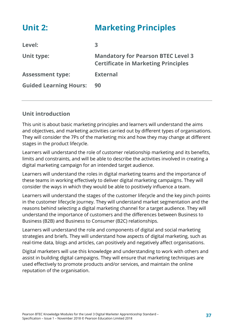| <b>Unit 2:</b>                | <b>Marketing Principles</b>                                                             |
|-------------------------------|-----------------------------------------------------------------------------------------|
| Level:                        | 3                                                                                       |
| Unit type:                    | <b>Mandatory for Pearson BTEC Level 3</b><br><b>Certificate in Marketing Principles</b> |
| <b>Assessment type:</b>       | <b>External</b>                                                                         |
| <b>Guided Learning Hours:</b> | 90                                                                                      |

# **Unit introduction**

This unit is about basic marketing principles and learners will understand the aims and objectives, and marketing activities carried out by different types of organisations. They will consider the 7Ps of the marketing mix and how they may change at different stages in the product lifecycle.

Learners will understand the role of customer relationship marketing and its benefits, limits and constraints, and will be able to describe the activities involved in creating a digital marketing campaign for an intended target audience.

Learners will understand the roles in digital marketing teams and the importance of these teams in working effectively to deliver digital marketing campaigns. They will consider the ways in which they would be able to positively influence a team.

Learners will understand the stages of the customer lifecycle and the key pinch points in the customer lifecycle journey. They will understand market segmentation and the reasons behind selecting a digital marketing channel for a target audience. They will understand the importance of customers and the differences between Business to Business (B2B) and Business to Consumer (B2C) relationships.

Learners will understand the role and components of digital and social marketing strategies and briefs. They will understand how aspects of digital marketing, such as real-time data, blogs and articles, can positively and negatively affect organisations.

Digital marketers will use this knowledge and understanding to work with others and assist in building digital campaigns. They will ensure that marketing techniques are used effectively to promote products and/or services, and maintain the online reputation of the organisation.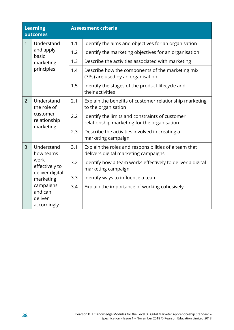| <b>Learning</b><br>outcomes |                                                                                                          |     | <b>Assessment criteria</b>                                                                     |
|-----------------------------|----------------------------------------------------------------------------------------------------------|-----|------------------------------------------------------------------------------------------------|
| $\mathbf{1}$                | Understand<br>and apply<br>basic<br>marketing<br>principles                                              | 1.1 | Identify the aims and objectives for an organisation                                           |
|                             |                                                                                                          | 1.2 | Identify the marketing objectives for an organisation                                          |
|                             |                                                                                                          | 1.3 | Describe the activities associated with marketing                                              |
|                             |                                                                                                          | 1.4 | Describe how the components of the marketing mix<br>(7Ps) are used by an organisation          |
|                             |                                                                                                          | 1.5 | Identify the stages of the product lifecycle and<br>their activities                           |
| $\overline{2}$              | Understand<br>the role of<br>customer<br>relationship<br>marketing                                       | 2.1 | Explain the benefits of customer relationship marketing<br>to the organisation                 |
|                             |                                                                                                          | 2.2 | Identify the limits and constraints of customer<br>relationship marketing for the organisation |
|                             |                                                                                                          | 2.3 | Describe the activities involved in creating a<br>marketing campaign                           |
| 3                           | Understand<br>how teams                                                                                  | 3.1 | Explain the roles and responsibilities of a team that<br>delivers digital marketing campaigns  |
|                             | work<br>effectively to<br>deliver digital<br>marketing<br>campaigns<br>and can<br>deliver<br>accordingly | 3.2 | Identify how a team works effectively to deliver a digital<br>marketing campaign               |
|                             |                                                                                                          | 3.3 | Identify ways to influence a team                                                              |
|                             |                                                                                                          | 3.4 | Explain the importance of working cohesively                                                   |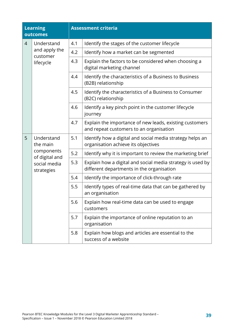| <b>Learning</b><br>outcomes |                                                                                      |     | <b>Assessment criteria</b>                                                                              |
|-----------------------------|--------------------------------------------------------------------------------------|-----|---------------------------------------------------------------------------------------------------------|
| $\overline{4}$              | Understand<br>and apply the<br>customer<br>lifecycle                                 | 4.1 | Identify the stages of the customer lifecycle                                                           |
|                             |                                                                                      | 4.2 | Identify how a market can be segmented                                                                  |
|                             |                                                                                      | 4.3 | Explain the factors to be considered when choosing a<br>digital marketing channel                       |
|                             |                                                                                      | 4.4 | Identify the characteristics of a Business to Business<br>(B2B) relationship                            |
|                             |                                                                                      | 4.5 | Identify the characteristics of a Business to Consumer<br>(B2C) relationship                            |
|                             |                                                                                      | 4.6 | Identify a key pinch point in the customer lifecycle<br>journey                                         |
|                             |                                                                                      | 4.7 | Explain the importance of new leads, existing customers<br>and repeat customers to an organisation      |
| 5                           | Understand<br>the main<br>components<br>of digital and<br>social media<br>strategies | 5.1 | Identify how a digital and social media strategy helps an<br>organisation achieve its objectives        |
|                             |                                                                                      | 5.2 | Identify why it is important to review the marketing brief                                              |
|                             |                                                                                      | 5.3 | Explain how a digital and social media strategy is used by<br>different departments in the organisation |
|                             |                                                                                      | 5.4 | Identify the importance of click-through rate                                                           |
|                             |                                                                                      | 5.5 | Identify types of real-time data that can be gathered by<br>an organisation                             |
|                             |                                                                                      | 5.6 | Explain how real-time data can be used to engage<br>customers                                           |
|                             |                                                                                      | 5.7 | Explain the importance of online reputation to an<br>organisation                                       |
|                             |                                                                                      | 5.8 | Explain how blogs and articles are essential to the<br>success of a website                             |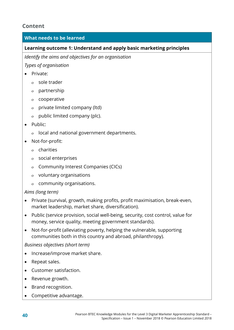# **Content**

# **What needs to be learned**

## **Learning outcome 1: Understand and apply basic marketing principles**

*Identify the aims and objectives for an organisation*

*Types of organisation*

- Private:
	- ο sole trader
	- ο partnership
	- ο cooperative
	- ο private limited company (ltd)
	- ο public limited company (plc).
- Public:
	- ο local and national government departments.
- Not-for-profit:
	- ο charities
	- ο social enterprises
	- ο Community Interest Companies (CICs)
	- ο voluntary organisations
	- ο community organisations.

## *Aims (long term)*

- Private (survival, growth, making profits, profit maximisation, break-even, market leadership, market share, diversification).
- Public (service provision, social well-being, security, cost control, value for money, service quality, meeting government standards).
- Not-for-profit (alleviating poverty, helping the vulnerable, supporting communities both in this country and abroad, philanthropy).

*Business objectives (short term)*

- Increase/improve market share.
- Repeat sales.
- Customer satisfaction.
- Revenue growth.
- Brand recognition.
- Competitive advantage.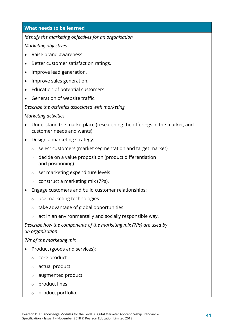## *Identify the marketing objectives for an organisation*

## *Marketing objectives*

- Raise brand awareness.
- Better customer satisfaction ratings.
- Improve lead generation.
- Improve sales generation.
- Education of potential customers.
- Generation of website traffic.

#### *Describe the activities associated with marketing*

#### *Marketing activities*

- Understand the marketplace (researching the offerings in the market, and customer needs and wants).
- Design a marketing strategy:
	- ο select customers (market segmentation and target market)
	- ο decide on a value proposition (product differentiation and positioning)
	- ο set marketing expenditure levels
	- ο construct a marketing mix (7Ps).
- Engage customers and build customer relationships:
	- ο use marketing technologies
	- ο take advantage of global opportunities
	- ο act in an environmentally and socially responsible way.

*Describe how the components of the marketing mix (7Ps) are used by an organisation*

*7Ps of the marketing mix*

- Product (goods and services):
	- ο core product
	- ο actual product
	- ο augmented product
	- ο product lines
	- ο product portfolio.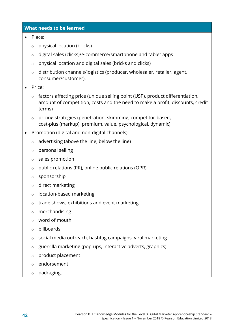- Place:
	- ο physical location (bricks)
	- ο digital sales (clicks)/e-commerce/smartphone and tablet apps
	- ο physical location and digital sales (bricks and clicks)
	- ο distribution channels/logistics (producer, wholesaler, retailer, agent, consumer/customer).
- Price:
	- ο factors affecting price (unique selling point (USP), product differentiation, amount of competition, costs and the need to make a profit, discounts, credit terms)
	- ο pricing strategies (penetration, skimming, competitor-based, cost-plus (markup), premium, value, psychological, dynamic).
- Promotion (digital and non-digital channels):
	- ο advertising (above the line, below the line)
	- ο personal selling
	- ο sales promotion
	- ο public relations (PR), online public relations (OPR)
	- ο sponsorship
	- ο direct marketing
	- ο location-based marketing
	- ο trade shows, exhibitions and event marketing
	- ο merchandising
	- ο word of mouth
	- ο billboards
	- ο social media outreach, hashtag campaigns, viral marketing
	- ο guerrilla marketing (pop-ups, interactive adverts, graphics)
	- ο product placement
	- ο endorsement
	- ο packaging.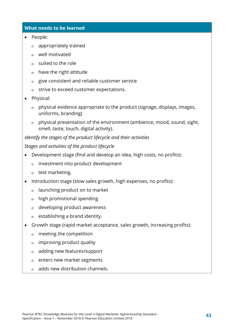- People:
	- ο appropriately trained
	- ο well motivated
	- ο suited to the role
	- ο have the right attitude
	- ο give consistent and reliable customer service
	- ο strive to exceed customer expectations.
- Physical:
	- ο physical evidence appropriate to the product (signage, displays, images, uniforms, branding)
	- ο physical presentation of the environment (ambience, mood, sound, sight, smell, taste, touch, digital activity).

*Identify the stages of the product lifecycle and their activities*

*Stages and activities of the product lifecycle*

- Development stage (find and develop an idea, high costs, no profits):
	- ο investment into product development
	- ο test marketing.
- Introduction stage (slow sales growth, high expenses, no profits):
	- ο launching product on to market
	- ο high promotional spending
	- ο developing product awareness
	- ο establishing a brand identity.
- Growth stage (rapid market acceptance, sales growth, increasing profits):
	- ο meeting the competition
	- ο improving product quality
	- ο adding new features/support
	- ο enters new market segments
	- ο adds new distribution channels.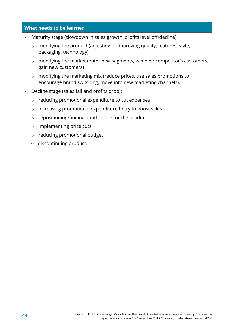- Maturity stage (slowdown in sales growth, profits level off/decline):
	- ο modifying the product (adjusting or improving quality, features, style, packaging, technology)
	- ο modifying the market (enter new segments, win over competitor's customers, gain new customers)
	- ο modifying the marketing mix (reduce prices, use sales promotions to encourage brand switching, move into new marketing channels).
- Decline stage (sales fall and profits drop):
	- ο reducing promotional expenditure to cut expenses
	- ο increasing promotional expenditure to try to boost sales
	- ο repositioning/finding another use for the product
	- ο implementing price cuts
	- ο reducing promotional budget
	- ο discontinuing product.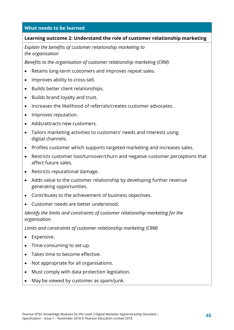#### **Learning outcome 2: Understand the role of customer relationship marketing**

*Explain the benefits of customer relationship marketing to the organisation*

*Benefits to the organisation of customer relationship marketing (CRM)*

- Retains long-term customers and improves repeat sales.
- Improves ability to cross-sell.
- Builds better client relationships.
- Builds brand loyalty and trust.
- Increases the likelihood of referrals/creates customer advocates.
- Improves reputation.
- Adds/attracts new customers.
- Tailors marketing activities to customers' needs and interests using digital channels.
- Profiles customer which supports targeted marketing and increases sales.
- Restricts customer loss/turnover/churn and negative customer perceptions that affect future sales.
- Restricts reputational damage.
- Adds value to the customer relationship by developing further revenue generating opportunities.
- Contributes to the achievement of business objectives.
- Customer needs are better understood.

*Identify the limits and constraints of customer relationship marketing for the organisation*

*Limits and constraints of customer relationship marketing (CRM)*

- Expensive.
- Time-consuming to set-up.
- Takes time to become effective.
- Not appropriate for all organisations.
- Must comply with data protection legislation.
- May be viewed by customer as spam/junk.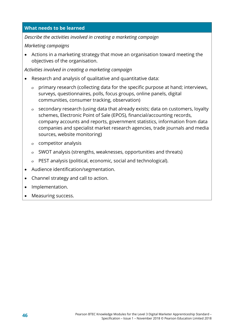*Describe the activities involved in creating a marketing campaign*

## *Marketing campaigns*

• Actions in a marketing strategy that move an organisation toward meeting the objectives of the organisation.

*Activities involved in creating a marketing campaign*

- Research and analysis of qualitative and quantitative data:
	- ο primary research (collecting data for the specific purpose at hand; interviews, surveys, questionnaires, polls, focus groups, online panels, digital communities, consumer tracking, observation)
	- ο secondary research (using data that already exists; data on customers, loyalty schemes, Electronic Point of Sale (EPOS), financial/accounting records, company accounts and reports, government statistics, information from data companies and specialist market research agencies, trade journals and media sources, website monitoring)
	- ο competitor analysis
	- ο SWOT analysis (strengths, weaknesses, opportunities and threats)
	- ο PEST analysis (political, economic, social and technological).
- Audience identification/segmentation.
- Channel strategy and call to action.
- Implementation.
- Measuring success.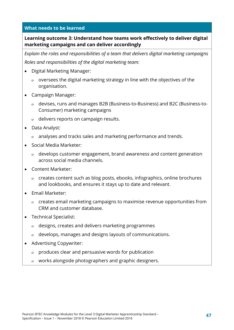# **Learning outcome 3: Understand how teams work effectively to deliver digital marketing campaigns and can deliver accordingly**

*Explain the roles and responsibilities of a team that delivers digital marketing campaigns*

*Roles and responsibilities of the digital marketing team:*

- Digital Marketing Manager:
	- ο oversees the digital marketing strategy in line with the objectives of the organisation.
- Campaign Manager:
	- ο devises, runs and manages B2B (Business-to-Business) and B2C (Business-to-Consumer) marketing campaigns
	- ο delivers reports on campaign results.
- Data Analyst:
	- ο analyses and tracks sales and marketing performance and trends.
- Social Media Marketer:
	- ο develops customer engagement, brand awareness and content generation across social media channels.
- Content Marketer:
	- ο creates content such as blog posts, ebooks, infographics, online brochures and lookbooks, and ensures it stays up to date and relevant.
- Email Marketer:
	- ο creates email marketing campaigns to maximise revenue opportunities from CRM and customer database.
- Technical Specialist:
	- ο designs, creates and delivers marketing programmes
	- ο develops, manages and designs layouts of communications.
- Advertising Copywriter:
	- ο produces clear and persuasive words for publication
	- ο works alongside photographers and graphic designers.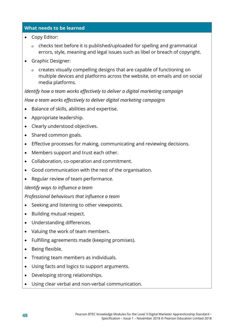- Copy Editor:
	- ο checks text before it is published/uploaded for spelling and grammatical errors, style, meaning and legal issues such as libel or breach of copyright.
- Graphic Designer:
	- ο creates visually compelling designs that are capable of functioning on multiple devices and platforms across the website, on emails and on social media platforms.

*Identify how a team works effectively to deliver a digital marketing campaign How a team works effectively to deliver digital marketing campaigns* 

- Balance of skills, abilities and expertise.
- Appropriate leadership.
- Clearly understood objectives.
- Shared common goals.
- Effective processes for making, communicating and reviewing decisions.
- Members support and trust each other.
- Collaboration, co-operation and commitment.
- Good communication with the rest of the organisation.
- Regular review of team performance.

#### *Identify ways to influence a team*

*Professional behaviours that influence a team*

- Seeking and listening to other viewpoints.
- Building mutual respect.
- Understanding differences.
- Valuing the work of team members.
- Fulfilling agreements made (keeping promises).
- Being flexible.
- Treating team members as individuals.
- Using facts and logics to support arguments.
- Developing strong relationships.
- Using clear verbal and non-verbal communication.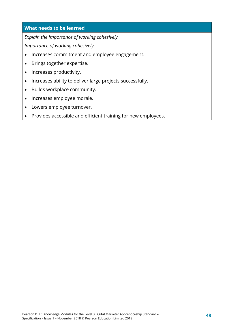*Explain the importance of working cohesively*

*Importance of working cohesively*

- Increases commitment and employee engagement.
- Brings together expertise.
- Increases productivity.
- Increases ability to deliver large projects successfully.
- Builds workplace community.
- Increases employee morale.
- Lowers employee turnover.
- Provides accessible and efficient training for new employees.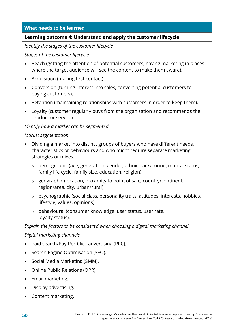## **Learning outcome 4: Understand and apply the customer lifecycle**

*Identify the stages of the customer lifecycle*

*Stages of the customer lifecycle*

- Reach (getting the attention of potential customers, having marketing in places where the target audience will see the content to make them aware).
- Acquisition (making first contact).
- Conversion (turning interest into sales, converting potential customers to paying customers).
- Retention (maintaining relationships with customers in order to keep them).
- Loyalty (customer regularly buys from the organisation and recommends the product or service).

#### *Identify how a market can be segmented*

#### *Market segmentation*

- Dividing a market into distinct groups of buyers who have different needs, characteristics or behaviours and who might require separate marketing strategies or mixes:
	- ο demographic (age, generation, gender, ethnic background, marital status, family life cycle, family size, education, religion)
	- ο geographic (location, proximity to point of sale, country/continent, region/area, city, urban/rural)
	- ο psychographic (social class, personality traits, attitudes, interests, hobbies, lifestyle, values, opinions)
	- ο behavioural (consumer knowledge, user status, user rate, loyalty status).

## *Explain the factors to be considered when choosing a digital marketing channel*

*Digital marketing channels*

- Paid search/Pay-Per-Click advertising (PPC).
- Search Engine Optimisation (SEO).
- Social Media Marketing (SMM).
- Online Public Relations (OPR).
- Email marketing.
- Display advertising.
- Content marketing.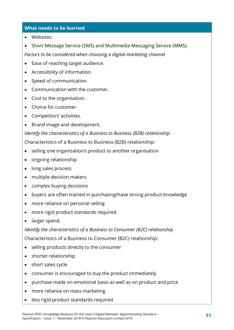- Websites.
- Short Message Service (SMS) and Multimedia Messaging Service (MMS).

*Factors to be considered when choosing a digital marketing channel*

- Ease of reaching target audience.
- Accessibility of information.
- Speed of communication.
- Communication with the customer.
- Cost to the organisation.
- Choice for customer.
- Competitors' activities.
- Brand image and development.

*Identify the characteristics of a Business to Business (B2B) relationship*

Characteristics of a Business to Business (B2B) relationship:

- selling one organisation's product to another organisation
- ongoing relationship
- long sales process
- multiple decision makers
- complex buying decisions
- buyers are often trained in purchasing/have strong product knowledge
- more reliance on personal selling
- more rigid product standards required
- larger spend.

*Identify the characteristics of a Business to Consumer (B2C) relationship*

Characteristics of a Business to Consumer (B2C) relationship:

- selling products directly to the consumer
- shorter relationship
- short sales cycle
- consumer is encouraged to buy the product immediately
- purchase made on emotional basis as well as on product and price
- more reliance on mass marketing
- less rigid product standards required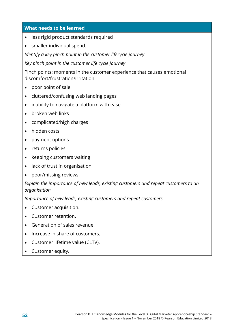- less rigid product standards required
- smaller individual spend.

*Identify a key pinch point in the customer lifecycle journey*

*Key pinch point in the customer life cycle journey*

Pinch points: moments in the customer experience that causes emotional discomfort/frustration/irritation:

- poor point of sale
- cluttered/confusing web landing pages
- inability to navigate a platform with ease
- broken web links
- complicated/high charges
- hidden costs
- payment options
- returns policies
- keeping customers waiting
- lack of trust in organisation
- poor/missing reviews.

#### *Explain the importance of new leads, existing customers and repeat customers to an organisation*

*Importance of new leads, existing customers and repeat customers*

- Customer acquisition.
- Customer retention.
- Generation of sales revenue.
- Increase in share of customers.
- Customer lifetime value (CLTV).
- Customer equity.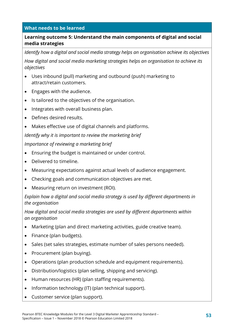# **Learning outcome 5: Understand the main components of digital and social media strategies**

*Identify how a digital and social media strategy helps an organisation achieve its objectives*

*How digital and social media marketing strategies helps an organisation to achieve its objectives*

- Uses inbound (pull) marketing and outbound (push) marketing to attract/retain customers.
- Engages with the audience.
- Is tailored to the objectives of the organisation.
- Integrates with overall business plan.
- Defines desired results.
- Makes effective use of digital channels and platforms.

*Identify why it is important to review the marketing brief*

*Importance of reviewing a marketing brief*

- Ensuring the budget is maintained or under control.
- Delivered to timeline.
- Measuring expectations against actual levels of audience engagement.
- Checking goals and communication objectives are met.
- Measuring return on investment (ROI).

*Explain how a digital and social media strategy is used by different departments in the organisation*

*How digital and social media strategies are used by different departments within an organisation*

- Marketing (plan and direct marketing activities, guide creative team).
- Finance (plan budgets).
- Sales (set sales strategies, estimate number of sales persons needed).
- Procurement (plan buying).
- Operations (plan production schedule and equipment requirements).
- Distribution/logistics (plan selling, shipping and servicing).
- Human resources (HR) (plan staffing requirements).
- Information technology (IT) (plan technical support).
- Customer service (plan support).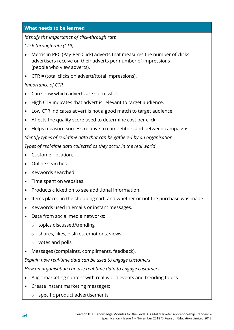## *Identify the importance of click-through rate*

*Click-through rate (CTR)*

- Metric in PPC (Pay-Per-Click) adverts that measures the number of clicks advertisers receive on their adverts per number of impressions (people who view adverts).
- CTR = (total clicks on advert)/(total impressions).

# *Importance of CTR*

- Can show which adverts are successful.
- High CTR indicates that advert is relevant to target audience.
- Low CTR indicates advert is not a good match to target audience.
- Affects the quality score used to determine cost per click.
- Helps measure success relative to competitors and between campaigns. *Identify types of real-time data that can be gathered by an organisation Types of real-time data collected as they occur in the real world*
- Customer location.
- Online searches.
- Keywords searched.
- Time spent on websites.
- Products clicked on to see additional information.
- Items placed in the shopping cart, and whether or not the purchase was made.
- Keywords used in emails or instant messages.
- Data from social media networks:
	- ο topics discussed/trending
	- ο shares, likes, dislikes, emotions, views
	- ο votes and polls.
- Messages (complaints, compliments, feedback).

*Explain how real-time data can be used to engage customers*

*How an organisation can use real-time data to engage customers*

- Align marketing content with real-world events and trending topics
- Create instant marketing messages:
	- ο specific product advertisements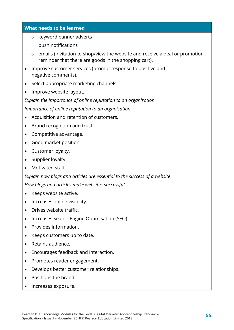- ο keyword banner adverts
- ο push notifications
- ο emails (invitation to shop/view the website and receive a deal or promotion, reminder that there are goods in the shopping cart).
- Improve customer services (prompt response to positive and negative comments).
- Select appropriate marketing channels.
- Improve website layout.

*Explain the importance of online reputation to an organisation*

*Importance of online reputation to an organisation*

- Acquisition and retention of customers.
- Brand recognition and trust.
- Competitive advantage.
- Good market position.
- Customer loyalty.
- Supplier loyalty.
- Motivated staff.

*Explain how blogs and articles are essential to the success of a website*

*How blogs and articles make websites successful*

- Keeps website active.
- Increases online visibility.
- Drives website traffic.
- Increases Search Engine Optimisation (SEO).
- Provides information.
- Keeps customers up to date.
- Retains audience.
- Encourages feedback and interaction.
- Promotes reader engagement.
- Develops better customer relationships.
- Positions the brand.
- Increases exposure.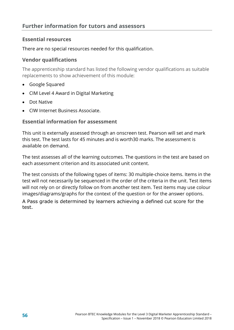# **Essential resources**

There are no special resources needed for this qualification.

## **Vendor qualifications**

The apprenticeship standard has listed the following vendor qualifications as suitable replacements to show achievement of this module:

- Google Squared
- CIM Level 4 Award in Digital Marketing
- Dot Native
- CIW Internet Business Associate.

# **Essential information for assessment**

This unit is externally assessed through an onscreen test. Pearson will set and mark this test. The test lasts for 45 minutes and is worth30 marks. The assessment is available on demand.

The test assesses all of the learning outcomes. The questions in the test are based on each assessment criterion and its associated unit content.

The test consists of the following types of items: 30 multiple-choice items. Items in the test will not necessarily be sequenced in the order of the criteria in the unit. Test items will not rely on or directly follow on from another test item. Test items may use colour images/diagrams/graphs for the context of the question or for the answer options.

A Pass grade is determined by learners achieving a defined cut score for the test.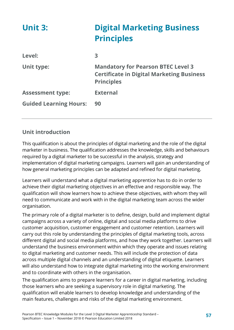| <b>Unit 3:</b>                | <b>Digital Marketing Business</b><br><b>Principles</b>                                                             |
|-------------------------------|--------------------------------------------------------------------------------------------------------------------|
| Level:                        | 3                                                                                                                  |
| Unit type:                    | <b>Mandatory for Pearson BTEC Level 3</b><br><b>Certificate in Digital Marketing Business</b><br><b>Principles</b> |
| <b>Assessment type:</b>       | <b>External</b>                                                                                                    |
| <b>Guided Learning Hours:</b> | 90                                                                                                                 |

# **Unit introduction**

This qualification is about the principles of digital marketing and the role of the digital marketer in business. The qualification addresses the knowledge, skills and behaviours required by a digital marketer to be successful in the analysis, strategy and implementation of digital marketing campaigns. Learners will gain an understanding of how general marketing principles can be adapted and refined for digital marketing.

Learners will understand what a digital marketing apprentice has to do in order to achieve their digital marketing objectives in an effective and responsible way. The qualification will show learners how to achieve these objectives, with whom they will need to communicate and work with in the digital marketing team across the wider organisation.

The primary role of a digital marketer is to define, design, build and implement digital campaigns across a variety of online, digital and social media platforms to drive customer acquisition, customer engagement and customer retention. Learners will carry out this role by understanding the principles of digital marketing tools, across different digital and social media platforms, and how they work together. Learners will understand the business environment within which they operate and issues relating to digital marketing and customer needs. This will include the protection of data across multiple digital channels and an understanding of digital etiquette. Learners will also understand how to integrate digital marketing into the working environment and to coordinate with others in the organisation.

The qualification aims to prepare learners for a career in digital marketing, including those learners who are seeking a supervisory role in digital marketing. The qualification will enable learners to develop knowledge and understanding of the main features, challenges and risks of the digital marketing environment.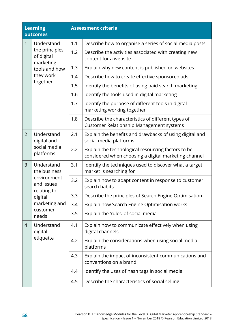|                | <b>Learning</b><br>outcomes                                                                                             |     | <b>Assessment criteria</b>                                                                                 |
|----------------|-------------------------------------------------------------------------------------------------------------------------|-----|------------------------------------------------------------------------------------------------------------|
| 1              | Understand<br>the principles<br>of digital<br>marketing<br>tools and how<br>they work<br>together                       | 1.1 | Describe how to organise a series of social media posts                                                    |
|                |                                                                                                                         | 1.2 | Describe the activities associated with creating new<br>content for a website                              |
|                |                                                                                                                         | 1.3 | Explain why new content is published on websites                                                           |
|                |                                                                                                                         | 1.4 | Describe how to create effective sponsored ads                                                             |
|                |                                                                                                                         | 1.5 | Identify the benefits of using paid search marketing                                                       |
|                |                                                                                                                         | 1.6 | Identify the tools used in digital marketing                                                               |
|                |                                                                                                                         | 1.7 | Identify the purpose of different tools in digital<br>marketing working together                           |
|                |                                                                                                                         | 1.8 | Describe the characteristics of different types of<br><b>Customer Relationship Management systems</b>      |
| $\overline{2}$ | Understand<br>digital and                                                                                               | 2.1 | Explain the benefits and drawbacks of using digital and<br>social media platforms                          |
|                | social media<br>platforms                                                                                               | 2.2 | Explain the technological resourcing factors to be<br>considered when choosing a digital marketing channel |
| $\overline{3}$ | Understand<br>the business<br>environment<br>and issues<br>relating to<br>digital<br>marketing and<br>customer<br>needs | 3.1 | Identify the techniques used to discover what a target<br>market is searching for                          |
|                |                                                                                                                         | 3.2 | Explain how to adapt content in response to customer<br>search habits                                      |
|                |                                                                                                                         | 3.3 | Describe the principles of Search Engine Optimisation                                                      |
|                |                                                                                                                         | 3.4 | Explain how Search Engine Optimisation works                                                               |
|                |                                                                                                                         | 3.5 | Explain the 'rules' of social media                                                                        |
| 4              | Understand<br>digital<br>etiquette                                                                                      | 4.1 | Explain how to communicate effectively when using<br>digital channels                                      |
|                |                                                                                                                         | 4.2 | Explain the considerations when using social media<br>platforms                                            |
|                |                                                                                                                         | 4.3 | Explain the impact of inconsistent communications and<br>conventions on a brand                            |
|                |                                                                                                                         | 4.4 | Identify the uses of hash tags in social media                                                             |
|                |                                                                                                                         | 4.5 | Describe the characteristics of social selling                                                             |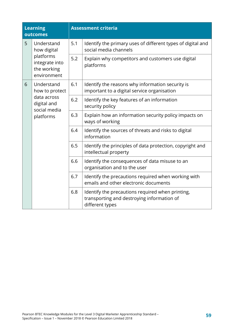| <b>Learning</b><br>outcomes |                                                                                         | <b>Assessment criteria</b> |                                                                                                                   |
|-----------------------------|-----------------------------------------------------------------------------------------|----------------------------|-------------------------------------------------------------------------------------------------------------------|
| 5                           | Understand<br>how digital<br>platforms<br>integrate into<br>the working<br>environment  | 5.1                        | Identify the primary uses of different types of digital and<br>social media channels                              |
|                             |                                                                                         | 5.2                        | Explain why competitors and customers use digital<br>platforms                                                    |
| 6                           | Understand<br>how to protect<br>data across<br>digital and<br>social media<br>platforms | 6.1                        | Identify the reasons why information security is<br>important to a digital service organisation                   |
|                             |                                                                                         | 6.2                        | Identify the key features of an information<br>security policy                                                    |
|                             |                                                                                         | 6.3                        | Explain how an information security policy impacts on<br>ways of working                                          |
|                             |                                                                                         | 6.4                        | Identify the sources of threats and risks to digital<br>information                                               |
|                             |                                                                                         | 6.5                        | Identify the principles of data protection, copyright and<br>intellectual property                                |
|                             |                                                                                         | 6.6                        | Identify the consequences of data misuse to an<br>organisation and to the user                                    |
|                             |                                                                                         | 6.7                        | Identify the precautions required when working with<br>emails and other electronic documents                      |
|                             |                                                                                         | 6.8                        | Identify the precautions required when printing,<br>transporting and destroying information of<br>different types |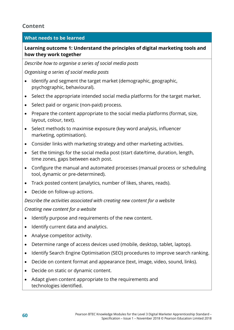# **Content**

# **What needs to be learned**

**Learning outcome 1: Understand the principles of digital marketing tools and how they work together**

*Describe how to organise a series of social media posts*

*Organising a series of social media posts*

- Identify and segment the target market (demographic, geographic, psychographic, behavioural).
- Select the appropriate intended social media platforms for the target market.
- Select paid or organic (non-paid) process.
- Prepare the content appropriate to the social media platforms (format, size, layout, colour, text).
- Select methods to maximise exposure (key word analysis, influencer marketing, optimisation).
- Consider links with marketing strategy and other marketing activities.
- Set the timings for the social media post (start date/time, duration, length, time zones, gaps between each post.
- Configure the manual and automated processes (manual process or scheduling tool, dynamic or pre-determined).
- Track posted content (analytics, number of likes, shares, reads).
- Decide on follow-up actions.

*Describe the activities associated with creating new content for a website*

*Creating new content for a website*

- Identify purpose and requirements of the new content.
- Identify current data and analytics.
- Analyse competitor activity.
- Determine range of access devices used (mobile, desktop, tablet, laptop).
- Identify Search Engine Optimisation (SEO) procedures to improve search ranking.
- Decide on content format and appearance (text, image, video, sound, links).
- Decide on static or dynamic content.
- Adapt given content appropriate to the requirements and technologies identified.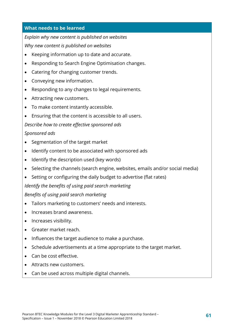*Explain why new content is published on websites*

*Why new content is published on websites*

- Keeping information up to date and accurate.
- Responding to Search Engine Optimisation changes.
- Catering for changing customer trends.
- Conveying new information.
- Responding to any changes to legal requirements.
- Attracting new customers.
- To make content instantly accessible.
- Ensuring that the content is accessible to all users.

*Describe how to create effective sponsored ads*

# *Sponsored ads*

- Segmentation of the target market
- Identify content to be associated with sponsored ads
- Identify the description used (key words)
- Selecting the channels (search engine, websites, emails and/or social media)
- Setting or configuring the daily budget to advertise (flat rates)

*Identify the benefits of using paid search marketing*

*Benefits of using paid search marketing*

- Tailors marketing to customers' needs and interests.
- Increases brand awareness.
- Increases visibility.
- Greater market reach.
- Influences the target audience to make a purchase.
- Schedule advertisements at a time appropriate to the target market.
- Can be cost effective.
- Attracts new customers.
- Can be used across multiple digital channels.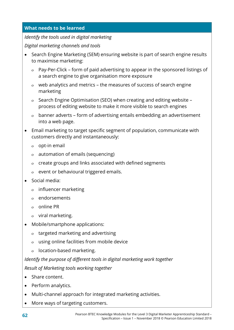#### *Identify the tools used in digital marketing*

*Digital marketing channels and tools*

- Search Engine Marketing (SEM) ensuring website is part of search engine results to maximise marketing:
	- ο Pay-Per-Click form of paid advertising to appear in the sponsored listings of a search engine to give organisation more exposure
	- ο web analytics and metrics the measures of success of search engine marketing
	- ο Search Engine Optimisation (SEO) when creating and editing website process of editing website to make it more visible to search engines
	- ο banner adverts form of advertising entails embedding an advertisement into a web page.
- Email marketing to target specific segment of population, communicate with customers directly and instantaneously:
	- ο opt-in email
	- ο automation of emails (sequencing)
	- ο create groups and links associated with defined segments
	- ο event or behavioural triggered emails.
- Social media:
	- ο influencer marketing
	- ο endorsements
	- ο online PR
	- ο viral marketing.
- Mobile/smartphone applications:
	- ο targeted marketing and advertising
	- ο using online facilities from mobile device
	- ο location-based marketing.

# *Identify the purpose of different tools in digital marketing work together Result of Marketing tools working together*

- Share content.
- Perform analytics.
- Multi-channel approach for integrated marketing activities.
- More ways of targeting customers.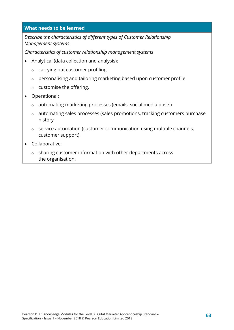*Describe the characteristics of different types of Customer Relationship Management systems*

*Characteristics of customer relationship management systems*

- Analytical (data collection and analysis):
	- ο carrying out customer profiling
	- ο personalising and tailoring marketing based upon customer profile
	- ο customise the offering.
- Operational:
	- ο automating marketing processes (emails, social media posts)
	- ο automating sales processes (sales promotions, tracking customers purchase history
	- ο service automation (customer communication using multiple channels, customer support).
- Collaborative:
	- ο sharing customer information with other departments across the organisation.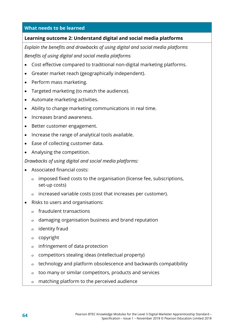#### **Learning outcome 2: Understand digital and social media platforms**

*Explain the benefits and drawbacks of using digital and social media platforms Benefits of using digital and social media platforms*

- Cost effective compared to traditional non-digital marketing platforms.
- Greater market reach (geographically independent).
- Perform mass marketing.
- Targeted marketing (to match the audience).
- Automate marketing activities.
- Ability to change marketing communications in real time.
- Increases brand awareness.
- Better customer engagement.
- Increase the range of analytical tools available.
- Ease of collecting customer data.
- Analysing the competition.

*Drawbacks of using digital and social media platforms:*

- Associated financial costs:
	- ο imposed fixed costs to the organisation (license fee, subscriptions, set-up costs)
	- ο increased variable costs (cost that increases per customer).
- Risks to users and organisations:
	- ο fraudulent transactions
	- ο damaging organisation business and brand reputation
	- ο identity fraud
	- ο copyright
	- ο infringement of data protection
	- ο competitors stealing ideas (intellectual property)
	- ο technology and platform obsolescence and backwards compatibility
	- ο too many or similar competitors, products and services
	- ο matching platform to the perceived audience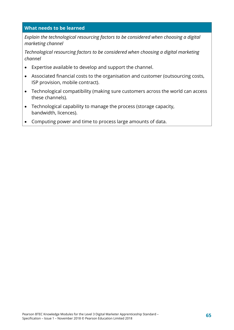*Explain the technological resourcing factors to be considered when choosing a digital marketing channel*

*Technological resourcing factors to be considered when choosing a digital marketing channel*

- Expertise available to develop and support the channel.
- Associated financial costs to the organisation and customer (outsourcing costs, ISP provision, mobile contract).
- Technological compatibility (making sure customers across the world can access these channels).
- Technological capability to manage the process (storage capacity, bandwidth, licences).
- Computing power and time to process large amounts of data.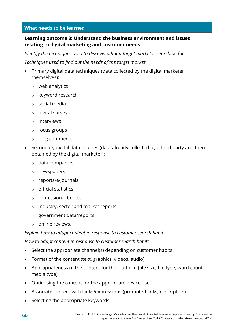# **Learning outcome 3: Understand the business environment and issues relating to digital marketing and customer needs**

*Identify the techniques used to discover what a target market is searching for*

*Techniques used to find out the needs of the target market*

- Primary digital data techniques (data collected by the digital marketer themselves):
	- ο web analytics
	- ο keyword research
	- ο social media
	- ο digital surveys
	- ο interviews
	- ο focus groups
	- ο blog comments
- Secondary digital data sources (data already collected by a third party and then obtained by the digital marketer):
	- ο data companies
	- ο newspapers
	- ο reports/e-journals
	- ο official statistics
	- ο professional bodies
	- ο industry, sector and market reports
	- ο government data/reports
	- ο online reviews.

*Explain how to adapt content in response to customer search habits*

*How to adapt content in response to customer search habits*

- Select the appropriate channel(s) depending on customer habits.
- Format of the content (text, graphics, videos, audio).
- Appropriateness of the content for the platform (file size, file type, word count, media type).
- Optimising the content for the appropriate device used.
- Associate content with Links/expressions (promoted links, descriptors).
- Selecting the appropriate keywords.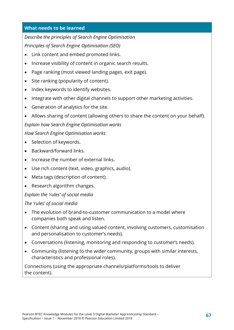# *Describe the principles of Search Engine Optimisation*

*Principles of Search Engine Optimisation (SEO)*

- Link content and embed promoted links.
- Increase visibility of content in organic search results.
- Page ranking (most viewed landing pages, exit page).
- Site ranking (popularity of content).
- Index keywords to identify websites.
- Integrate with other digital channels to support other marketing activities.
- Generation of analytics for the site.
- Allows sharing of content (allowing others to share the content on your behalf).

*Explain how Search Engine Optimisation works*

*How Search Engine Optimisation works*

- Selection of keywords.
- Backward/forward links.
- Increase the number of external links.
- Use rich content (text, video, graphics, audio).
- Meta tags (description of content).
- Research algorithm changes.

## *Explain the 'rules' of social media*

## *The 'rules' of social media*

- The evolution of brand-to-customer communication to a model where companies both speak and listen.
- Content (sharing and using valued content, involving customers, customisation and personalisation to customer's needs).
- Conversations (listening, monitoring and responding to customer's needs).
- Community (listening to the wider community, groups with similar interests, characteristics and professional roles).

Connections (using the appropriate channels/platforms/tools to deliver the content).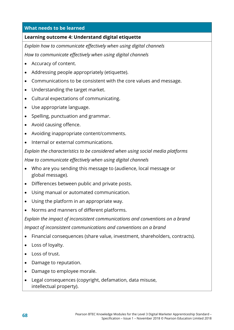#### **Learning outcome 4: Understand digital etiquette**

*Explain how to communicate effectively when using digital channels*

*How to communicate effectively when using digital channels*

- Accuracy of content.
- Addressing people appropriately (etiquette).
- Communications to be consistent with the core values and message.
- Understanding the target market.
- Cultural expectations of communicating.
- Use appropriate language.
- Spelling, punctuation and grammar.
- Avoid causing offence.
- Avoiding inappropriate content/comments.
- Internal or external communications.

*Explain the characteristics to be considered when using social media platforms*

*How to communicate effectively when using digital channels*

- Who are you sending this message to (audience, local message or global message).
- Differences between public and private posts.
- Using manual or automated communication.
- Using the platform in an appropriate way.
- Norms and manners of different platforms.

*Explain the impact of inconsistent communications and conventions on a brand Impact of inconsistent communications and conventions on a brand*

- Financial consequences (share value, investment, shareholders, contracts).
- Loss of loyalty.
- Loss of trust.
- Damage to reputation.
- Damage to employee morale.
- Legal consequences (copyright, defamation, data misuse, intellectual property).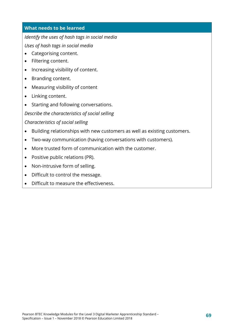*Identify the uses of hash tags in social media*

*Uses of hash tags in social media*

- Categorising content.
- Filtering content.
- Increasing visibility of content.
- Branding content.
- Measuring visibility of content
- Linking content.
- Starting and following conversations.

*Describe the characteristics of social selling*

*Characteristics of social selling*

- Building relationships with new customers as well as existing customers.
- Two-way communication (having conversations with customers).
- More trusted form of communication with the customer.
- Positive public relations (PR).
- Non-intrusive form of selling.
- Difficult to control the message.
- Difficult to measure the effectiveness.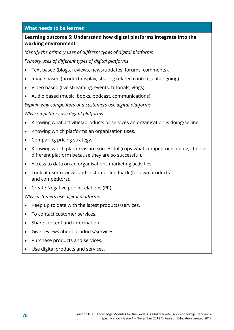## **Learning outcome 5: Understand how digital platforms integrate into the working environment**

*Identify the primary uses of different types of digital platforms Primary uses of different types of digital platforms*

- Text based (blogs, reviews, news/updates, forums, comments).
- Image based (product display, sharing related content, cataloguing).
- Video based (live streaming, events, tutorials, vlogs).
- Audio based (music, books, podcast, communications).

*Explain why competitors and customers use digital platforms*

#### *Why competitors use digital platforms*

- Knowing what activities/products or services an organisation is doing/selling.
- Knowing which platforms an organisation uses.
- Comparing pricing strategy.
- Knowing which platforms are successful (copy what competitor is doing, choose different platform because they are so successful).
- Access to data on an organisations marketing activities.
- Look at user reviews and customer feedback (for own products and competitors).
- Create Negative public relations (PR).

*Why customers use digital platforms*

- Keep up to date with the latest products/services.
- To contact customer services.
- Share content and information
- Give reviews about products/services.
- Purchase products and services.
- Use digital products and services.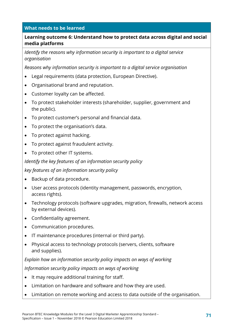## **Learning outcome 6: Understand how to protect data across digital and social media platforms**

*Identify the reasons why information security is important to a digital service organisation*

*Reasons why information security is important to a digital service organisation*

- Legal requirements (data protection, European Directive).
- Organisational brand and reputation.
- Customer loyalty can be affected.
- To protect stakeholder interests (shareholder, supplier, government and the public).
- To protect customer's personal and financial data.
- To protect the organisation's data.
- To protect against hacking.
- To protect against fraudulent activity.
- To protect other IT systems.

*Identify the key features of an information security policy*

*key features of an information security policy*

- Backup of data procedure.
- User access protocols (identity management, passwords, encryption, access rights).
- Technology protocols (software upgrades, migration, firewalls, network access by external devices).
- Confidentiality agreement.
- Communication procedures.
- IT maintenance procedures (internal or third party).
- Physical access to technology protocols (servers, clients, software and supplies).

*Explain how an information security policy impacts on ways of working Information security policy impacts on ways of working*

- It may require additional training for staff.
- Limitation on hardware and software and how they are used.
- Limitation on remote working and access to data outside of the organisation.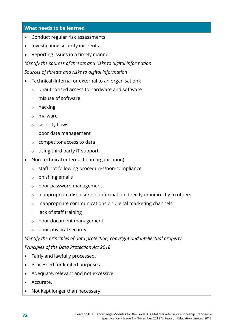- Conduct regular risk assessments.
- Investigating security incidents.
- Reporting issues in a timely manner.

*Identify the sources of threats and risks to digital information Sources of threats and risks to digital information*

- Technical (internal or external to an organisation):
	- ο unauthorised access to hardware and software
	- ο misuse of software
	- ο hacking
	- ο malware
	- ο security flaws
	- ο poor data management
	- ο competitor access to data
	- ο using third party IT support.
- Non-technical (internal to an organisation):
	- ο staff not following procedures/non-compliance
	- ο phishing emails
	- ο poor password management
	- ο inappropriate disclosure of information directly or indirectly to others
	- ο inappropriate communications on digital marketing channels
	- ο lack of staff training
	- ο poor document management
	- ο poor physical security.

*Identify the principles of data protection, copyright and intellectual property Principles of the Data Protection Act 2018*

- Fairly and lawfully processed.
- Processed for limited purposes.
- Adequate, relevant and not excessive.
- Accurate.
- Not kept longer than necessary.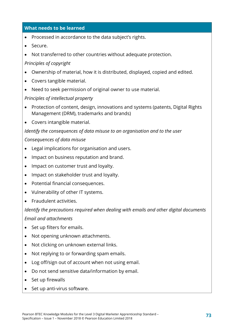- Processed in accordance to the data subject's rights.
- Secure.
- Not transferred to other countries without adequate protection.

#### *Principles of copyright*

- Ownership of material, how it is distributed, displayed, copied and edited.
- Covers tangible material.
- Need to seek permission of original owner to use material.

#### *Principles of intellectual property*

- Protection of content, design, innovations and systems (patents, Digital Rights Management (DRM), trademarks and brands)
- Covers intangible material.

#### *Identify the consequences of data misuse to an organisation and to the user*

#### *Consequences of data misuse*

- Legal implications for organisation and users.
- Impact on business reputation and brand.
- Impact on customer trust and loyalty.
- Impact on stakeholder trust and loyalty.
- Potential financial consequences.
- Vulnerability of other IT systems.
- Fraudulent activities.

#### *Identify the precautions required when dealing with emails and other digital documents*

#### *Email and attachments*

- Set up filters for emails.
- Not opening unknown attachments.
- Not clicking on unknown external links.
- Not replying to or forwarding spam emails.
- Log off/sign out of account when not using email.
- Do not send sensitive data/information by email.
- Set up firewalls
- Set up anti-virus software.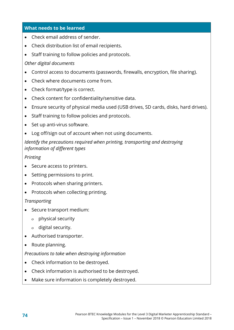- Check email address of sender.
- Check distribution list of email recipients.
- Staff training to follow policies and protocols.

### *Other digital documents*

- Control access to documents (passwords, firewalls, encryption, file sharing).
- Check where documents come from.
- Check format/type is correct.
- Check content for confidentiality/sensitive data.
- Ensure security of physical media used (USB drives, SD cards, disks, hard drives).
- Staff training to follow policies and protocols.
- Set up anti-virus software.
- Log off/sign out of account when not using documents.

## *Identify the precautions required when printing, transporting and destroying information of different types*

## *Printing*

- Secure access to printers.
- Setting permissions to print.
- Protocols when sharing printers.
- Protocols when collecting printing.

## *Transporting*

- Secure transport medium:
	- ο physical security
	- ο digital security.
- Authorised transporter.
- Route planning.

#### *Precautions to take when destroying information*

- Check information to be destroyed.
- Check information is authorised to be destroyed.
- Make sure information is completely destroyed.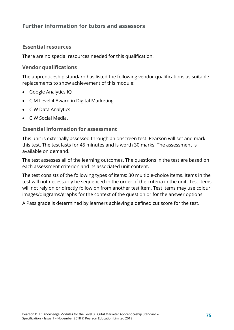## **Further information for tutors and assessors**

### **Essential resources**

There are no special resources needed for this qualification.

#### **Vendor qualifications**

The apprenticeship standard has listed the following vendor qualifications as suitable replacements to show achievement of this module:

- Google Analytics IQ
- CIM Level 4 Award in Digital Marketing
- CIW Data Analytics
- CIW Social Media.

#### **Essential information for assessment**

This unit is externally assessed through an onscreen test. Pearson will set and mark this test. The test lasts for 45 minutes and is worth 30 marks. The assessment is available on demand.

The test assesses all of the learning outcomes. The questions in the test are based on each assessment criterion and its associated unit content.

The test consists of the following types of items: 30 multiple-choice items. Items in the test will not necessarily be sequenced in the order of the criteria in the unit. Test items will not rely on or directly follow on from another test item. Test items may use colour images/diagrams/graphs for the context of the question or for the answer options.

A Pass grade is determined by learners achieving a defined cut score for the test.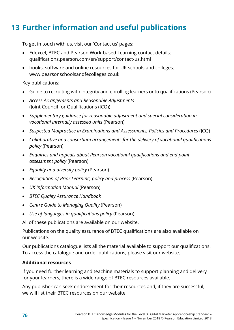# **13 Further information and useful publications**

To get in touch with us, visit our 'Contact us' pages:

- Edexcel, BTEC and Pearson Work-based Learning contact details: qualifications.pearson.com/en/support/contact-us.html
- books, software and online resources for UK schools and colleges: www.pearsonschoolsandfecolleges.co.uk

Key publications:

- Guide to recruiting with integrity and enrolling learners onto qualifications (Pearson)
- *Access Arrangements and Reasonable Adjustments* (Joint Council for Qualifications (JCQ))
- *Supplementary guidance for reasonable adjustment and special consideration in vocational internally assessed units* (Pearson)
- *Suspected Malpractice in Examinations and Assessments, Policies and Procedures* (JCQ)
- *Collaborative and consortium arrangements for the delivery of vocational qualifications policy* (Pearson)
- *Enquiries and appeals about Pearson vocational qualifications and end point assessment policy* (Pearson)
- *Equality and diversity policy* (Pearson)
- *Recognition of Prior Learning, policy and process* (Pearson)
- *UK Information Manual* (Pearson)
- *BTEC Quality Assurance Handbook*
- *Centre Guide to Managing Quality* (Pearson)
- *Use of languages in qualifications policy* (Pearson).

All of these publications are available on our website.

Publications on the quality assurance of BTEC qualifications are also available on our website.

Our publications catalogue lists all the material available to support our qualifications. To access the catalogue and order publications, please visit our website.

## **Additional resources**

If you need further learning and teaching materials to support planning and delivery for your learners, there is a wide range of BTEC resources available.

Any publisher can seek endorsement for their resources and, if they are successful, we will list their BTEC resources on our website.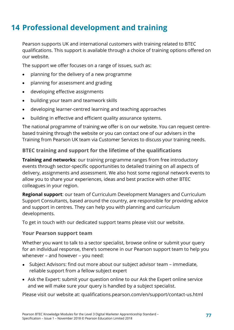# **14 Professional development and training**

Pearson supports UK and international customers with training related to BTEC qualifications. This support is available through a choice of training options offered on our website.

The support we offer focuses on a range of issues, such as:

- planning for the delivery of a new programme
- planning for assessment and grading
- developing effective assignments
- building your team and teamwork skills
- developing learner-centred learning and teaching approaches
- building in effective and efficient quality assurance systems.

The national programme of training we offer is on our website. You can request centrebased training through the website or you can contact one of our advisers in the Training from Pearson UK team via Customer Services to discuss your training needs.

## **BTEC training and support for the lifetime of the qualifications**

**Training and networks**: our training programme ranges from free introductory events through sector-specific opportunities to detailed training on all aspects of delivery, assignments and assessment. We also host some regional network events to allow you to share your experiences, ideas and best practice with other BTEC colleagues in your region.

**Regional support**: our team of Curriculum Development Managers and Curriculum Support Consultants, based around the country, are responsible for providing advice and support in centres. They can help you with planning and curriculum developments.

To get in touch with our dedicated support teams please visit our website.

#### **Your Pearson support team**

Whether you want to talk to a sector specialist, browse online or submit your query for an individual response, there's someone in our Pearson support team to help you whenever – and however – you need:

- Subject Advisors: find out more about our subject advisor team immediate, reliable support from a fellow subject expert
- Ask the Expert: submit your question online to our Ask the Expert online service and we will make sure your query is handled by a subject specialist.

Please visit our website at: qualifications.pearson.com/en/support/contact-us.html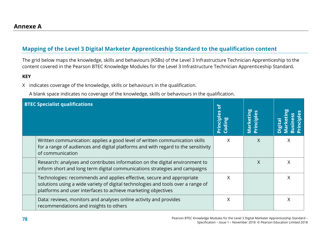## **Mapping of the Level 3 Digital Marketer Apprenticeship Standard to the qualification content**

The grid below maps the knowledge, skills and behaviours (KSBs) of the Level 3 Infrastructure Technician Apprenticeship to the content covered in the Pearson BTEC Knowledge Modules for the Level 3 Infrastructure Technician Apprenticeship Standard.

#### **KEY**

X indicates coverage of the knowledge, skills or behaviours in the qualification.

A blank space indicates no coverage of the knowledge, skills or behaviours in the qualification.

| <b>BTEC Specialist qualifications</b>                                                                                                                                                                                       | ិ<br>ciples<br><b>Prin</b> | Marketing |   |
|-----------------------------------------------------------------------------------------------------------------------------------------------------------------------------------------------------------------------------|----------------------------|-----------|---|
| Written communication: applies a good level of written communication skills<br>for a range of audiences and digital platforms and with regard to the sensitivity<br>of communication                                        | Χ                          | X         | X |
| Research: analyses and contributes information on the digital environment to<br>inform short and long term digital communications strategies and campaigns                                                                  |                            | $\sf X$   | X |
| Technologies: recommends and applies effective, secure and appropriate<br>solutions using a wide variety of digital technologies and tools over a range of<br>platforms and user interfaces to achieve marketing objectives | X                          |           | Χ |
| Data: reviews, monitors and analyses online activity and provides<br>recommendations and insights to others                                                                                                                 | X                          |           | X |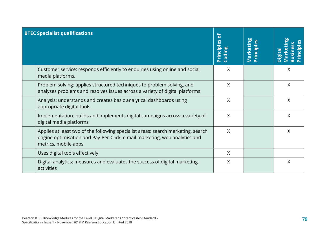| <b>BTEC Specialist qualifications</b>                                                                                                                                                  | $\mathbf{r}$<br>Principles<br>Coding | Marketing<br>Principles | rinciples<br><b>Business</b><br><b>Market</b><br>Digital |
|----------------------------------------------------------------------------------------------------------------------------------------------------------------------------------------|--------------------------------------|-------------------------|----------------------------------------------------------|
| Customer service: responds efficiently to enquiries using online and social<br>media platforms.                                                                                        | Χ                                    |                         | X                                                        |
| Problem solving: applies structured techniques to problem solving, and<br>analyses problems and resolves issues across a variety of digital platforms                                  | X                                    |                         | X                                                        |
| Analysis: understands and creates basic analytical dashboards using<br>appropriate digital tools                                                                                       | $\sf X$                              |                         | X                                                        |
| Implementation: builds and implements digital campaigns across a variety of<br>digital media platforms                                                                                 | $\sf X$                              |                         | X                                                        |
| Applies at least two of the following specialist areas: search marketing, search<br>engine optimisation and Pay-Per-Click, e mail marketing, web analytics and<br>metrics, mobile apps | $\sf X$                              |                         | $\times$                                                 |
| Uses digital tools effectively                                                                                                                                                         | $\sf X$                              |                         |                                                          |
| Digital analytics: measures and evaluates the success of digital marketing<br>activities                                                                                               | X                                    |                         | X                                                        |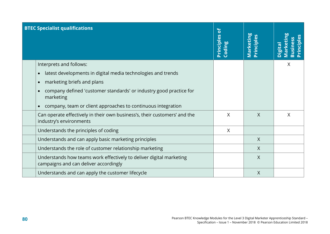| <b>BTEC Specialist qualifications</b>                                                                        | <b>Principles of</b><br>Coding | Marketing<br>Principles | rinciples<br><b>Business</b><br><b>Marker</b><br>Digital |
|--------------------------------------------------------------------------------------------------------------|--------------------------------|-------------------------|----------------------------------------------------------|
| Interprets and follows:                                                                                      |                                |                         | $\chi$                                                   |
| latest developments in digital media technologies and trends<br>$\bullet$                                    |                                |                         |                                                          |
| marketing briefs and plans                                                                                   |                                |                         |                                                          |
| company defined 'customer standards' or industry good practice for<br>marketing                              |                                |                         |                                                          |
| company, team or client approaches to continuous integration                                                 |                                |                         |                                                          |
| Can operate effectively in their own business's, their customers' and the<br>industry's environments         | X                              | $\chi$                  | X                                                        |
| Understands the principles of coding                                                                         | $\sf X$                        |                         |                                                          |
| Understands and can apply basic marketing principles                                                         |                                | $\chi$                  |                                                          |
| Understands the role of customer relationship marketing                                                      |                                | $\chi$                  |                                                          |
| Understands how teams work effectively to deliver digital marketing<br>campaigns and can deliver accordingly |                                | $\overline{X}$          |                                                          |
| Understands and can apply the customer lifecycle                                                             |                                | $\chi$                  |                                                          |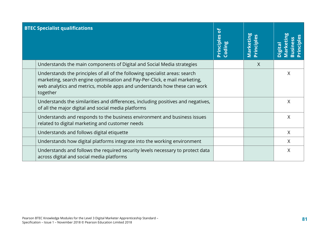| <b>BTEC Specialist qualifications</b>                                                                                                                                                                                                              | ិ៍<br>Principles<br>Coding | Marketing<br>Principles | ciples<br>ŭi<br><b>Busine</b><br>Marke<br>Digital |
|----------------------------------------------------------------------------------------------------------------------------------------------------------------------------------------------------------------------------------------------------|----------------------------|-------------------------|---------------------------------------------------|
| Understands the main components of Digital and Social Media strategies                                                                                                                                                                             |                            | $\chi$                  |                                                   |
| Understands the principles of all of the following specialist areas: search<br>marketing, search engine optimisation and Pay-Per-Click, e mail marketing,<br>web analytics and metrics, mobile apps and understands how these can work<br>together |                            |                         | X                                                 |
| Understands the similarities and differences, including positives and negatives,<br>of all the major digital and social media platforms                                                                                                            |                            |                         | $\times$                                          |
| Understands and responds to the business environment and business issues<br>related to digital marketing and customer needs                                                                                                                        |                            |                         | X                                                 |
| Understands and follows digital etiquette                                                                                                                                                                                                          |                            |                         | $\sf X$                                           |
| Understands how digital platforms integrate into the working environment                                                                                                                                                                           |                            |                         | X                                                 |
| Understands and follows the required security levels necessary to protect data<br>across digital and social media platforms                                                                                                                        |                            |                         | X                                                 |